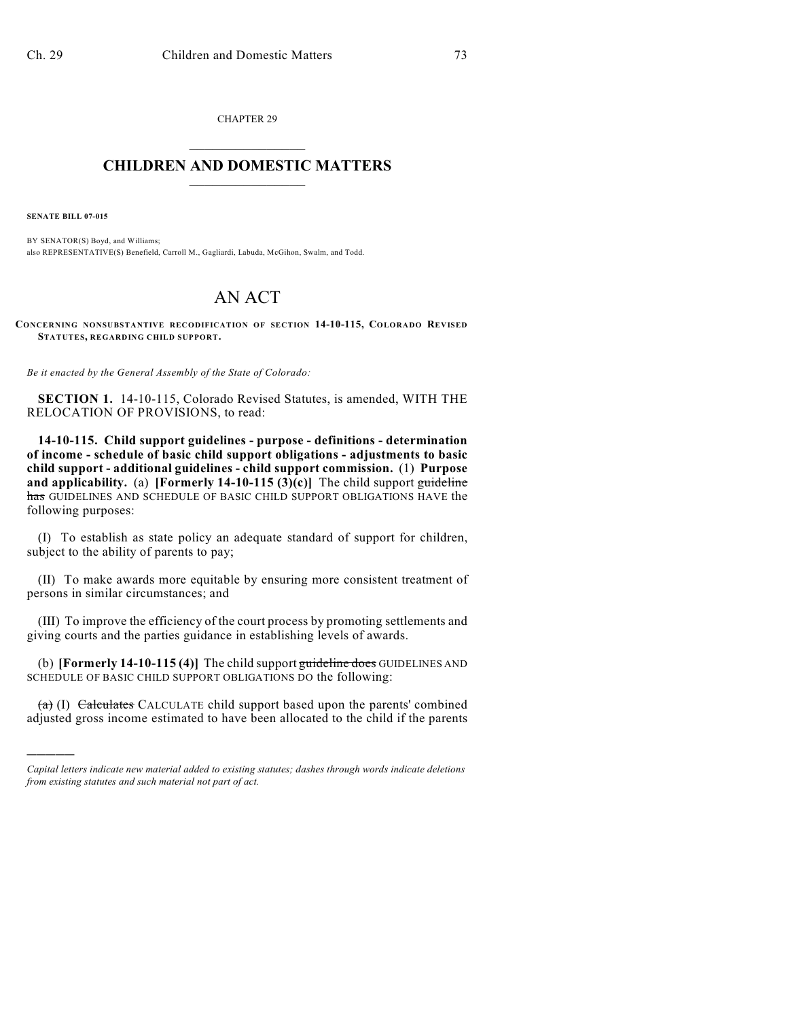CHAPTER 29  $\mathcal{L}_\text{max}$  . The set of the set of the set of the set of the set of the set of the set of the set of the set of the set of the set of the set of the set of the set of the set of the set of the set of the set of the set

## **CHILDREN AND DOMESTIC MATTERS**  $\_$

**SENATE BILL 07-015**

)))))

BY SENATOR(S) Boyd, and Williams; also REPRESENTATIVE(S) Benefield, Carroll M., Gagliardi, Labuda, McGihon, Swalm, and Todd.

## AN ACT

**CONCERNING NONSUBSTANTIVE RECODIFICATION OF SECTION 14-10-115, COLORADO REVISED STATUTES, REGARDING CHILD SUPPORT.**

*Be it enacted by the General Assembly of the State of Colorado:*

**SECTION 1.** 14-10-115, Colorado Revised Statutes, is amended, WITH THE RELOCATION OF PROVISIONS, to read:

**14-10-115. Child support guidelines - purpose - definitions - determination of income - schedule of basic child support obligations - adjustments to basic child support - additional guidelines - child support commission.** (1) **Purpose and applicability.** (a) **[Formerly 14-10-115 (3)(c)]** The child support guideline has GUIDELINES AND SCHEDULE OF BASIC CHILD SUPPORT OBLIGATIONS HAVE the following purposes:

(I) To establish as state policy an adequate standard of support for children, subject to the ability of parents to pay;

(II) To make awards more equitable by ensuring more consistent treatment of persons in similar circumstances; and

(III) To improve the efficiency of the court process by promoting settlements and giving courts and the parties guidance in establishing levels of awards.

(b) **[Formerly 14-10-115 (4)]** The child support guideline does GUIDELINES AND SCHEDULE OF BASIC CHILD SUPPORT OBLIGATIONS DO the following:

 $(a)$  (I) Calculates CALCULATE child support based upon the parents' combined adjusted gross income estimated to have been allocated to the child if the parents

*Capital letters indicate new material added to existing statutes; dashes through words indicate deletions from existing statutes and such material not part of act.*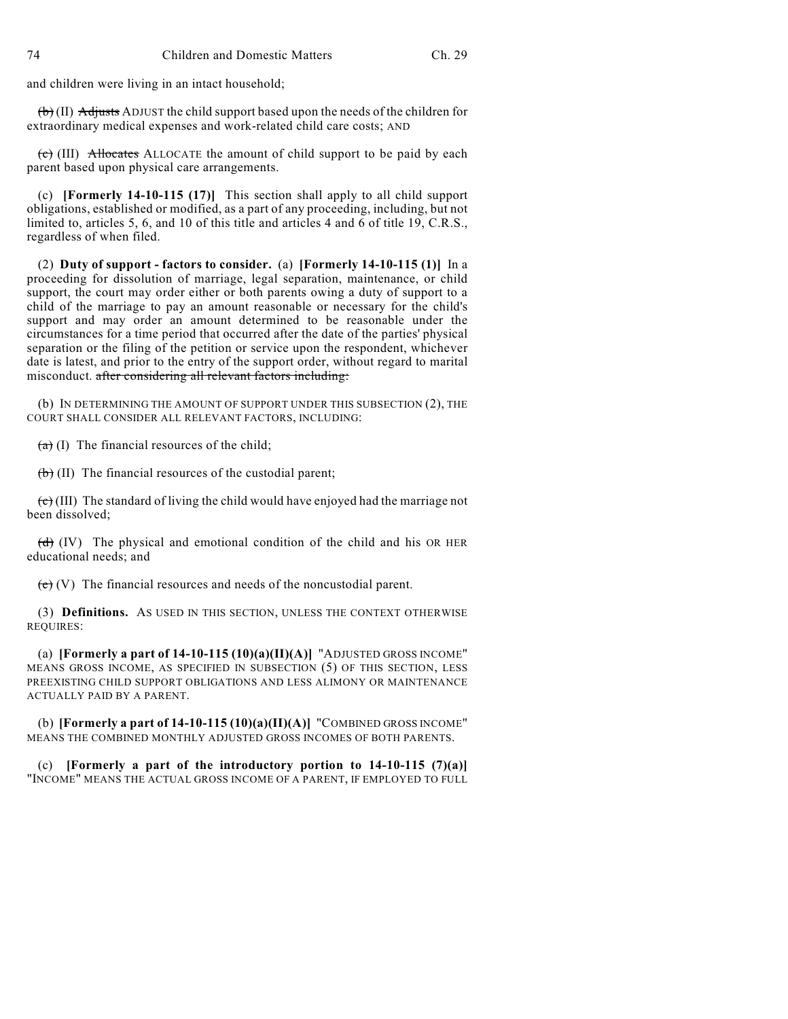and children were living in an intact household;

 $(b)$  (II) Adjusts ADJUST the child support based upon the needs of the children for extraordinary medical expenses and work-related child care costs; AND

 $\overrightarrow{c}$  (III) Allocates ALLOCATE the amount of child support to be paid by each parent based upon physical care arrangements.

(c) **[Formerly 14-10-115 (17)]** This section shall apply to all child support obligations, established or modified, as a part of any proceeding, including, but not limited to, articles 5, 6, and 10 of this title and articles 4 and 6 of title 19, C.R.S., regardless of when filed.

(2) **Duty of support - factors to consider.** (a) **[Formerly 14-10-115 (1)]** In a proceeding for dissolution of marriage, legal separation, maintenance, or child support, the court may order either or both parents owing a duty of support to a child of the marriage to pay an amount reasonable or necessary for the child's support and may order an amount determined to be reasonable under the circumstances for a time period that occurred after the date of the parties' physical separation or the filing of the petition or service upon the respondent, whichever date is latest, and prior to the entry of the support order, without regard to marital misconduct. after considering all relevant factors including:

(b) IN DETERMINING THE AMOUNT OF SUPPORT UNDER THIS SUBSECTION (2), THE COURT SHALL CONSIDER ALL RELEVANT FACTORS, INCLUDING:

 $(a)$  (I) The financial resources of the child;

 $\left(\mathbf{b}\right)$  (II) The financial resources of the custodial parent;

 $\left(\frac{\mathbf{c}}{\mathbf{c}}\right)$  (III) The standard of living the child would have enjoyed had the marriage not been dissolved;

 $\left(\frac{d}{d}\right)$  (IV) The physical and emotional condition of the child and his OR HER educational needs; and

 $(e)$  (V) The financial resources and needs of the noncustodial parent.

(3) **Definitions.** AS USED IN THIS SECTION, UNLESS THE CONTEXT OTHERWISE REQUIRES:

(a) **[Formerly a part of 14-10-115 (10)(a)(II)(A)]** "ADJUSTED GROSS INCOME" MEANS GROSS INCOME, AS SPECIFIED IN SUBSECTION (5) OF THIS SECTION, LESS PREEXISTING CHILD SUPPORT OBLIGATIONS AND LESS ALIMONY OR MAINTENANCE ACTUALLY PAID BY A PARENT.

(b) **[Formerly a part of 14-10-115 (10)(a)(II)(A)]** "COMBINED GROSS INCOME" MEANS THE COMBINED MONTHLY ADJUSTED GROSS INCOMES OF BOTH PARENTS.

(c) **[Formerly a part of the introductory portion to 14-10-115 (7)(a)]** "INCOME" MEANS THE ACTUAL GROSS INCOME OF A PARENT, IF EMPLOYED TO FULL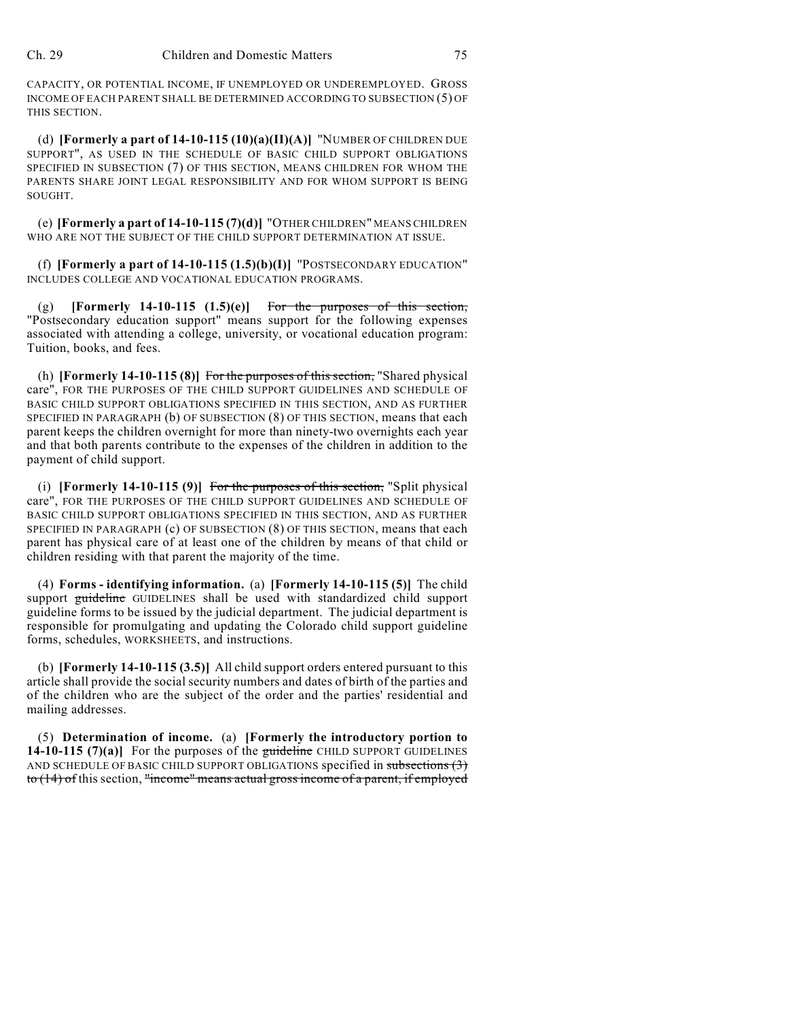CAPACITY, OR POTENTIAL INCOME, IF UNEMPLOYED OR UNDEREMPLOYED. GROSS INCOME OF EACH PARENT SHALL BE DETERMINED ACCORDING TO SUBSECTION (5) OF THIS SECTION.

(d) **[Formerly a part of 14-10-115 (10)(a)(II)(A)]** "NUMBER OF CHILDREN DUE SUPPORT", AS USED IN THE SCHEDULE OF BASIC CHILD SUPPORT OBLIGATIONS SPECIFIED IN SUBSECTION (7) OF THIS SECTION, MEANS CHILDREN FOR WHOM THE PARENTS SHARE JOINT LEGAL RESPONSIBILITY AND FOR WHOM SUPPORT IS BEING SOUGHT.

(e) **[Formerly a part of 14-10-115 (7)(d)]** "OTHER CHILDREN" MEANS CHILDREN WHO ARE NOT THE SUBJECT OF THE CHILD SUPPORT DETERMINATION AT ISSUE.

(f) **[Formerly a part of 14-10-115 (1.5)(b)(I)]** "POSTSECONDARY EDUCATION" INCLUDES COLLEGE AND VOCATIONAL EDUCATION PROGRAMS.

(g) **[Formerly 14-10-115 (1.5)(e)]** For the purposes of this section, "Postsecondary education support" means support for the following expenses associated with attending a college, university, or vocational education program: Tuition, books, and fees.

(h) **[Formerly 14-10-115 (8)]** For the purposes of this section, "Shared physical care", FOR THE PURPOSES OF THE CHILD SUPPORT GUIDELINES AND SCHEDULE OF BASIC CHILD SUPPORT OBLIGATIONS SPECIFIED IN THIS SECTION, AND AS FURTHER SPECIFIED IN PARAGRAPH (b) OF SUBSECTION (8) OF THIS SECTION, means that each parent keeps the children overnight for more than ninety-two overnights each year and that both parents contribute to the expenses of the children in addition to the payment of child support.

(i) **[Formerly 14-10-115 (9)]** For the purposes of this section, "Split physical care", FOR THE PURPOSES OF THE CHILD SUPPORT GUIDELINES AND SCHEDULE OF BASIC CHILD SUPPORT OBLIGATIONS SPECIFIED IN THIS SECTION, AND AS FURTHER SPECIFIED IN PARAGRAPH (c) OF SUBSECTION (8) OF THIS SECTION, means that each parent has physical care of at least one of the children by means of that child or children residing with that parent the majority of the time.

(4) **Forms - identifying information.** (a) **[Formerly 14-10-115 (5)]** The child support guideline GUIDELINES shall be used with standardized child support guideline forms to be issued by the judicial department. The judicial department is responsible for promulgating and updating the Colorado child support guideline forms, schedules, WORKSHEETS, and instructions.

(b) **[Formerly 14-10-115 (3.5)]** All child support orders entered pursuant to this article shall provide the social security numbers and dates of birth of the parties and of the children who are the subject of the order and the parties' residential and mailing addresses.

(5) **Determination of income.** (a) **[Formerly the introductory portion to 14-10-115 (7)(a)]** For the purposes of the guideline CHILD SUPPORT GUIDELINES AND SCHEDULE OF BASIC CHILD SUPPORT OBLIGATIONS specified in subsections (3) to (14) of this section, "income" means actual gross income of a parent, if employed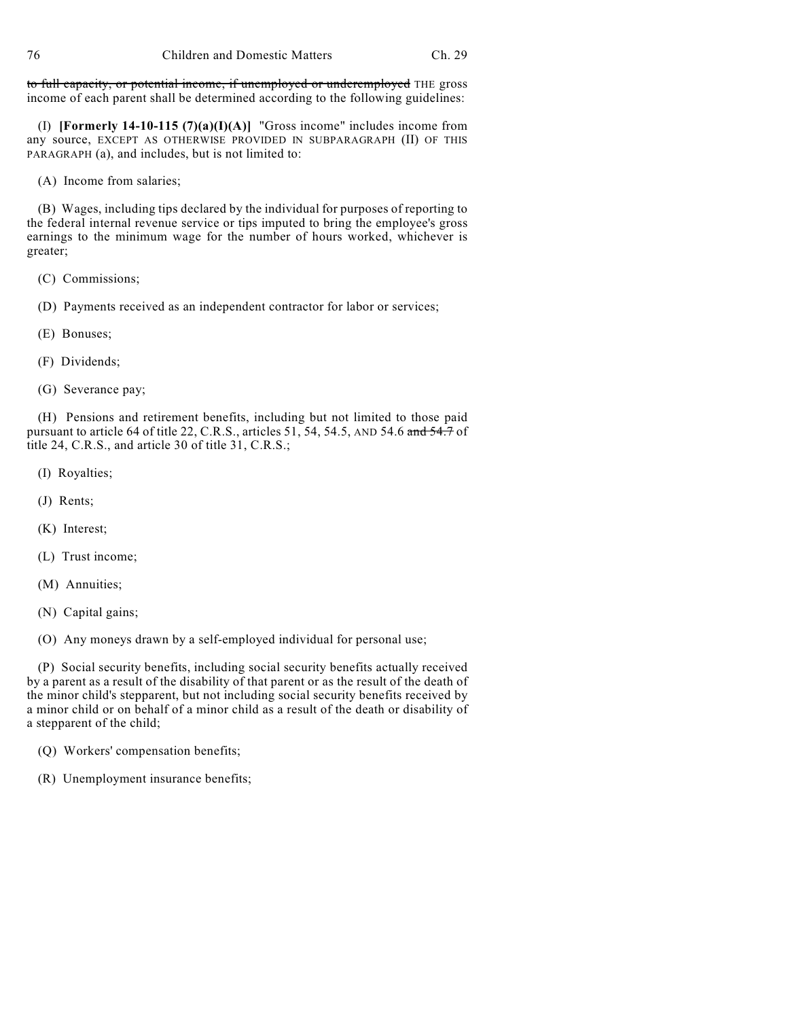to full capacity, or potential income, if unemployed or underemployed THE gross income of each parent shall be determined according to the following guidelines:

(I) **[Formerly 14-10-115 (7)(a)(I)(A)]** "Gross income" includes income from any source, EXCEPT AS OTHERWISE PROVIDED IN SUBPARAGRAPH (II) OF THIS PARAGRAPH (a), and includes, but is not limited to:

(A) Income from salaries;

(B) Wages, including tips declared by the individual for purposes of reporting to the federal internal revenue service or tips imputed to bring the employee's gross earnings to the minimum wage for the number of hours worked, whichever is greater;

- (C) Commissions;
- (D) Payments received as an independent contractor for labor or services;
- (E) Bonuses;
- (F) Dividends;
- (G) Severance pay;

(H) Pensions and retirement benefits, including but not limited to those paid pursuant to article 64 of title 22, C.R.S., articles 51, 54, 54.5, AND 54.6 and 54.7 of title 24, C.R.S., and article 30 of title 31, C.R.S.;

- (I) Royalties;
- (J) Rents;
- (K) Interest;
- (L) Trust income;
- (M) Annuities;
- (N) Capital gains;

(O) Any moneys drawn by a self-employed individual for personal use;

(P) Social security benefits, including social security benefits actually received by a parent as a result of the disability of that parent or as the result of the death of the minor child's stepparent, but not including social security benefits received by a minor child or on behalf of a minor child as a result of the death or disability of a stepparent of the child;

- (Q) Workers' compensation benefits;
- (R) Unemployment insurance benefits;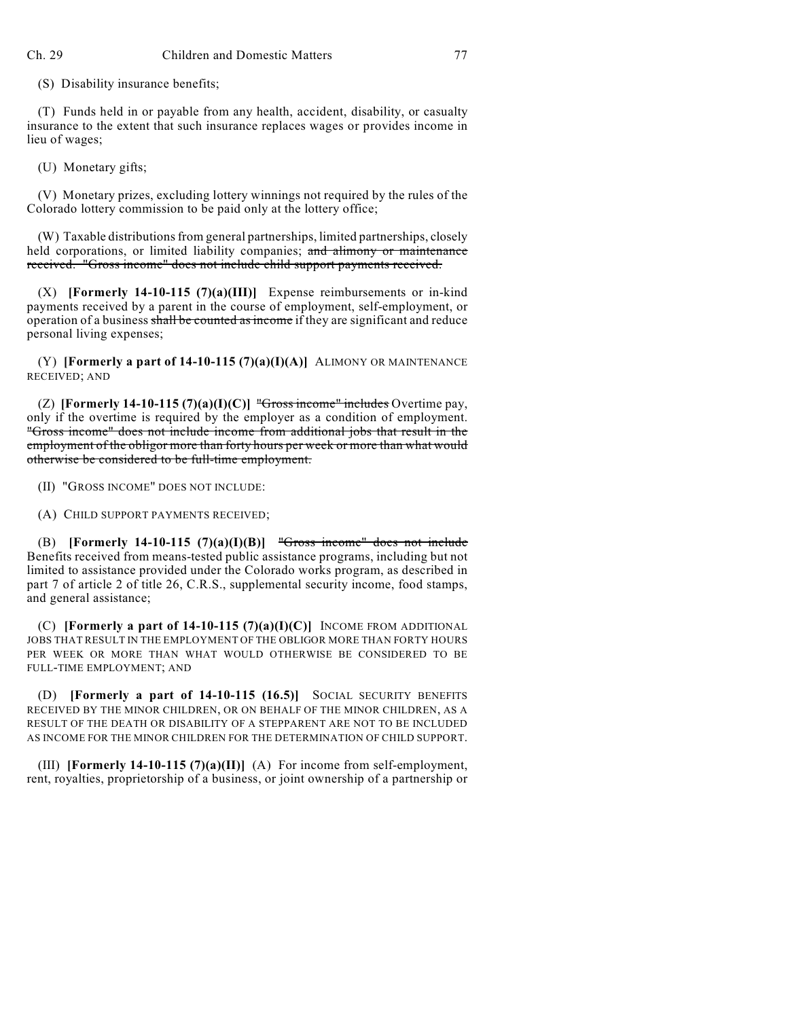(S) Disability insurance benefits;

(T) Funds held in or payable from any health, accident, disability, or casualty insurance to the extent that such insurance replaces wages or provides income in lieu of wages;

(U) Monetary gifts;

(V) Monetary prizes, excluding lottery winnings not required by the rules of the Colorado lottery commission to be paid only at the lottery office;

(W) Taxable distributions from general partnerships, limited partnerships, closely held corporations, or limited liability companies; and alimony or maintenance received. "Gross income" does not include child support payments received.

(X) **[Formerly 14-10-115 (7)(a)(III)]** Expense reimbursements or in-kind payments received by a parent in the course of employment, self-employment, or operation of a business shall be counted as income if they are significant and reduce personal living expenses;

(Y) **[Formerly a part of 14-10-115 (7)(a)(I)(A)]** ALIMONY OR MAINTENANCE RECEIVED; AND

(Z) **[Formerly 14-10-115 (7)(a)(I)(C)]** "Gross income" includes Overtime pay, only if the overtime is required by the employer as a condition of employment. "Gross income" does not include income from additional jobs that result in the employment of the obligor more than forty hours per week or more than what would otherwise be considered to be full-time employment.

(II) "GROSS INCOME" DOES NOT INCLUDE:

(A) CHILD SUPPORT PAYMENTS RECEIVED;

(B) **[Formerly 14-10-115 (7)(a)(I)(B)]** "Gross income" does not include Benefits received from means-tested public assistance programs, including but not limited to assistance provided under the Colorado works program, as described in part 7 of article 2 of title 26, C.R.S., supplemental security income, food stamps, and general assistance;

(C) **[Formerly a part of 14-10-115 (7)(a)(I)(C)]** INCOME FROM ADDITIONAL JOBS THAT RESULT IN THE EMPLOYMENT OF THE OBLIGOR MORE THAN FORTY HOURS PER WEEK OR MORE THAN WHAT WOULD OTHERWISE BE CONSIDERED TO BE FULL-TIME EMPLOYMENT; AND

(D) **[Formerly a part of 14-10-115 (16.5)]** SOCIAL SECURITY BENEFITS RECEIVED BY THE MINOR CHILDREN, OR ON BEHALF OF THE MINOR CHILDREN, AS A RESULT OF THE DEATH OR DISABILITY OF A STEPPARENT ARE NOT TO BE INCLUDED AS INCOME FOR THE MINOR CHILDREN FOR THE DETERMINATION OF CHILD SUPPORT.

(III) **[Formerly 14-10-115 (7)(a)(II)]** (A) For income from self-employment, rent, royalties, proprietorship of a business, or joint ownership of a partnership or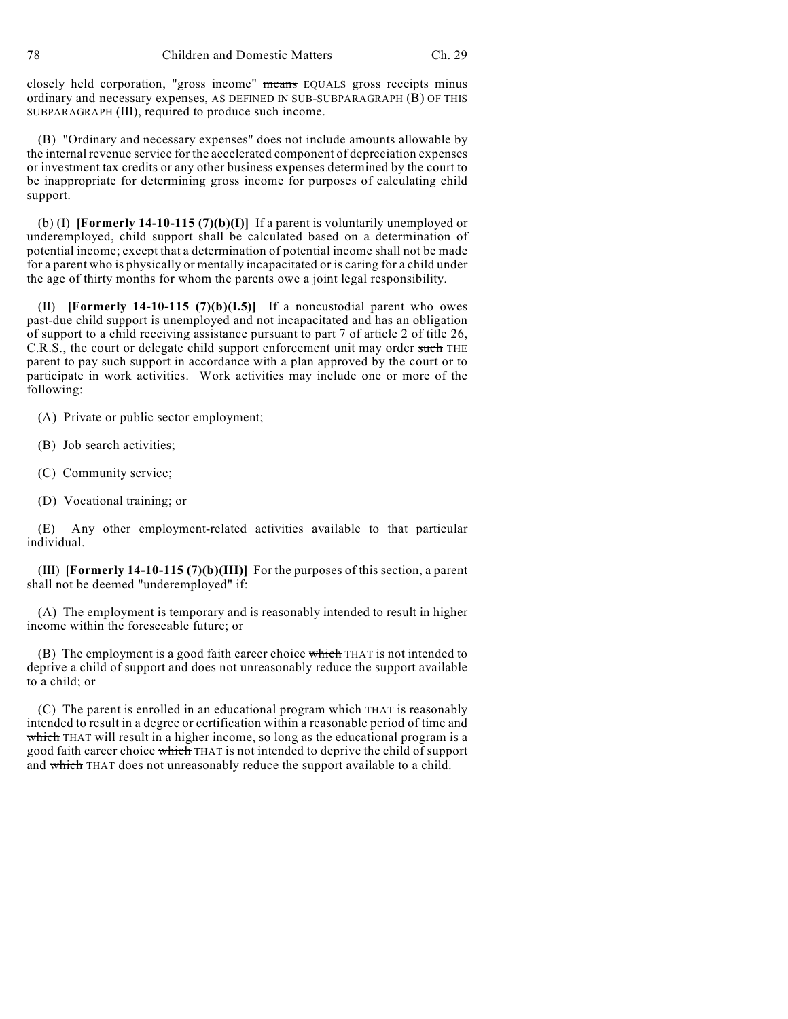78 Children and Domestic Matters Ch. 29

closely held corporation, "gross income" means EQUALS gross receipts minus ordinary and necessary expenses, AS DEFINED IN SUB-SUBPARAGRAPH (B) OF THIS SUBPARAGRAPH (III), required to produce such income.

(B) "Ordinary and necessary expenses" does not include amounts allowable by the internal revenue service for the accelerated component of depreciation expenses or investment tax credits or any other business expenses determined by the court to be inappropriate for determining gross income for purposes of calculating child support.

(b) (I) **[Formerly 14-10-115 (7)(b)(I)]** If a parent is voluntarily unemployed or underemployed, child support shall be calculated based on a determination of potential income; except that a determination of potential income shall not be made for a parent who is physically or mentally incapacitated or is caring for a child under the age of thirty months for whom the parents owe a joint legal responsibility.

(II) **[Formerly 14-10-115 (7)(b)(I.5)]** If a noncustodial parent who owes past-due child support is unemployed and not incapacitated and has an obligation of support to a child receiving assistance pursuant to part 7 of article 2 of title 26, C.R.S., the court or delegate child support enforcement unit may order such THE parent to pay such support in accordance with a plan approved by the court or to participate in work activities. Work activities may include one or more of the following:

(A) Private or public sector employment;

- (B) Job search activities;
- (C) Community service;
- (D) Vocational training; or

(E) Any other employment-related activities available to that particular individual.

(III) **[Formerly 14-10-115 (7)(b)(III)]** For the purposes of this section, a parent shall not be deemed "underemployed" if:

(A) The employment is temporary and is reasonably intended to result in higher income within the foreseeable future; or

(B) The employment is a good faith career choice which THAT is not intended to deprive a child of support and does not unreasonably reduce the support available to a child; or

(C) The parent is enrolled in an educational program which THAT is reasonably intended to result in a degree or certification within a reasonable period of time and which THAT will result in a higher income, so long as the educational program is a good faith career choice which THAT is not intended to deprive the child of support and which THAT does not unreasonably reduce the support available to a child.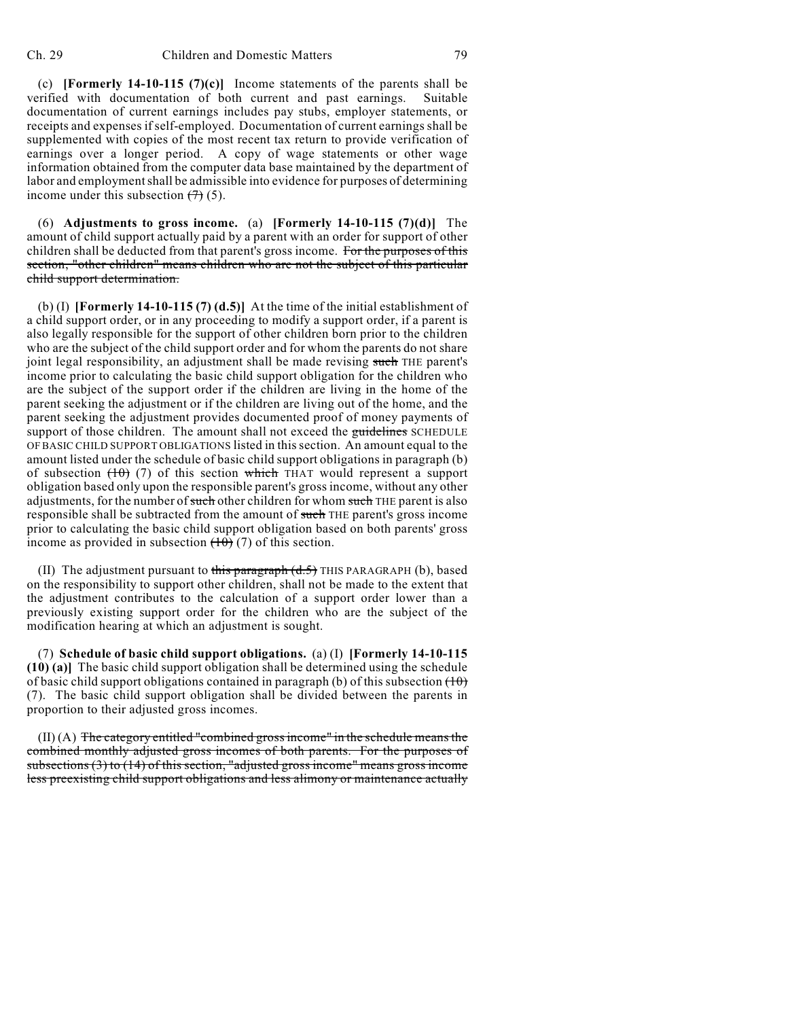(c) **[Formerly 14-10-115 (7)(c)]** Income statements of the parents shall be verified with documentation of both current and past earnings. Suitable documentation of current earnings includes pay stubs, employer statements, or receipts and expenses ifself-employed. Documentation of current earnings shall be supplemented with copies of the most recent tax return to provide verification of earnings over a longer period. A copy of wage statements or other wage information obtained from the computer data base maintained by the department of labor and employment shall be admissible into evidence for purposes of determining income under this subsection  $(7)$  (5).

(6) **Adjustments to gross income.** (a) **[Formerly 14-10-115 (7)(d)]** The amount of child support actually paid by a parent with an order for support of other children shall be deducted from that parent's gross income. For the purposes of this section, "other children" means children who are not the subject of this particular child support determination.

(b) (I) **[Formerly 14-10-115 (7) (d.5)]** At the time of the initial establishment of a child support order, or in any proceeding to modify a support order, if a parent is also legally responsible for the support of other children born prior to the children who are the subject of the child support order and for whom the parents do not share joint legal responsibility, an adjustment shall be made revising such THE parent's income prior to calculating the basic child support obligation for the children who are the subject of the support order if the children are living in the home of the parent seeking the adjustment or if the children are living out of the home, and the parent seeking the adjustment provides documented proof of money payments of support of those children. The amount shall not exceed the guidelines SCHEDULE OF BASIC CHILD SUPPORT OBLIGATIONS listed in this section. An amount equal to the amount listed under the schedule of basic child support obligations in paragraph (b) of subsection  $(10)$  (7) of this section which THAT would represent a support obligation based only upon the responsible parent's gross income, without any other adjustments, for the number of such other children for whom such THE parent is also responsible shall be subtracted from the amount of such THE parent's gross income prior to calculating the basic child support obligation based on both parents' gross income as provided in subsection  $(10)(7)$  of this section.

(II) The adjustment pursuant to this paragraph  $(d, 5)$  THIS PARAGRAPH (b), based on the responsibility to support other children, shall not be made to the extent that the adjustment contributes to the calculation of a support order lower than a previously existing support order for the children who are the subject of the modification hearing at which an adjustment is sought.

(7) **Schedule of basic child support obligations.** (a) (I) **[Formerly 14-10-115 (10) (a)]** The basic child support obligation shall be determined using the schedule of basic child support obligations contained in paragraph (b) of this subsection  $(10)$ (7). The basic child support obligation shall be divided between the parents in proportion to their adjusted gross incomes.

 $(II)$  (A) The category entitled "combined gross income" in the schedule means the combined monthly adjusted gross incomes of both parents. For the purposes of subsections (3) to (14) of this section, "adjusted gross income" means gross income less preexisting child support obligations and less alimony or maintenance actually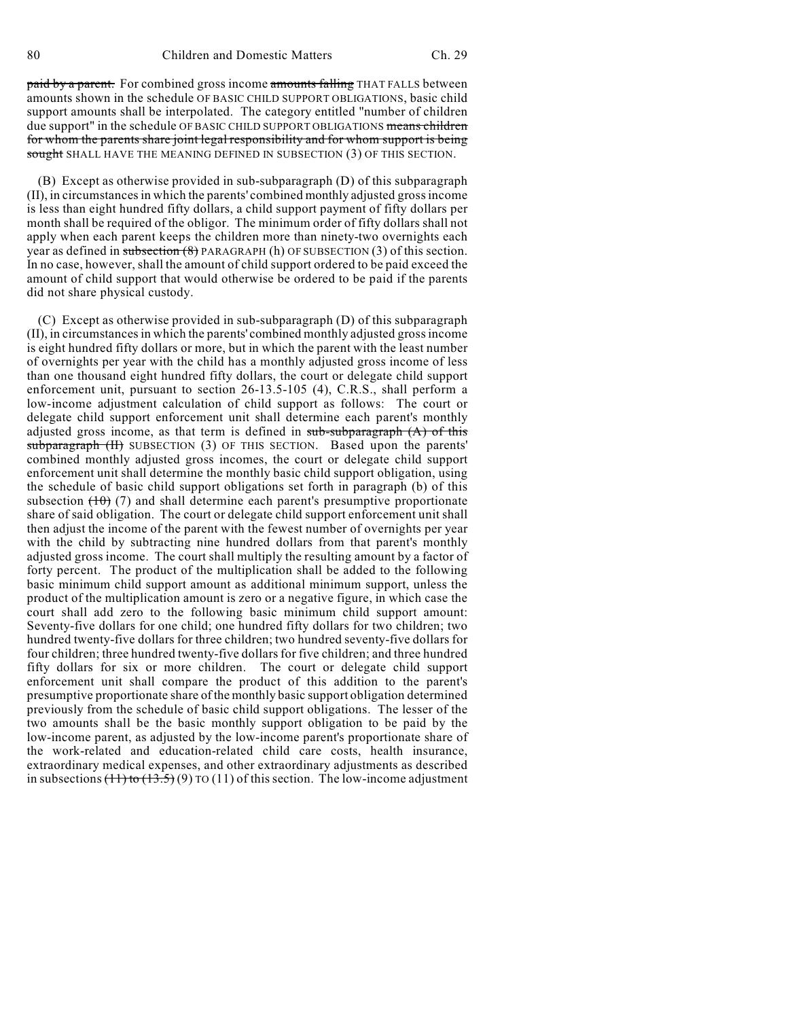paid by a parent. For combined gross income amounts falling THAT FALLS between amounts shown in the schedule OF BASIC CHILD SUPPORT OBLIGATIONS, basic child support amounts shall be interpolated. The category entitled "number of children due support" in the schedule OF BASIC CHILD SUPPORT OBLIGATIONS means children for whom the parents share joint legal responsibility and for whom support is being sought SHALL HAVE THE MEANING DEFINED IN SUBSECTION (3) OF THIS SECTION.

(B) Except as otherwise provided in sub-subparagraph (D) of this subparagraph (II), in circumstances in which the parents' combined monthly adjusted gross income is less than eight hundred fifty dollars, a child support payment of fifty dollars per month shall be required of the obligor. The minimum order of fifty dollars shall not apply when each parent keeps the children more than ninety-two overnights each year as defined in subsection (8) PARAGRAPH (h) OF SUBSECTION (3) of this section. In no case, however, shall the amount of child support ordered to be paid exceed the amount of child support that would otherwise be ordered to be paid if the parents did not share physical custody.

(C) Except as otherwise provided in sub-subparagraph (D) of this subparagraph (II), in circumstances in which the parents' combined monthly adjusted gross income is eight hundred fifty dollars or more, but in which the parent with the least number of overnights per year with the child has a monthly adjusted gross income of less than one thousand eight hundred fifty dollars, the court or delegate child support enforcement unit, pursuant to section 26-13.5-105 (4), C.R.S., shall perform a low-income adjustment calculation of child support as follows: The court or delegate child support enforcement unit shall determine each parent's monthly adjusted gross income, as that term is defined in  $sub-subparagraph(A)$  of this subparagraph (II) SUBSECTION (3) OF THIS SECTION. Based upon the parents' combined monthly adjusted gross incomes, the court or delegate child support enforcement unit shall determine the monthly basic child support obligation, using the schedule of basic child support obligations set forth in paragraph (b) of this subsection  $(10)$  (7) and shall determine each parent's presumptive proportionate share of said obligation. The court or delegate child support enforcement unit shall then adjust the income of the parent with the fewest number of overnights per year with the child by subtracting nine hundred dollars from that parent's monthly adjusted gross income. The court shall multiply the resulting amount by a factor of forty percent. The product of the multiplication shall be added to the following basic minimum child support amount as additional minimum support, unless the product of the multiplication amount is zero or a negative figure, in which case the court shall add zero to the following basic minimum child support amount: Seventy-five dollars for one child; one hundred fifty dollars for two children; two hundred twenty-five dollars for three children; two hundred seventy-five dollars for four children; three hundred twenty-five dollars for five children; and three hundred fifty dollars for six or more children. The court or delegate child support enforcement unit shall compare the product of this addition to the parent's presumptive proportionate share of the monthly basic support obligation determined previously from the schedule of basic child support obligations. The lesser of the two amounts shall be the basic monthly support obligation to be paid by the low-income parent, as adjusted by the low-income parent's proportionate share of the work-related and education-related child care costs, health insurance, extraordinary medical expenses, and other extraordinary adjustments as described in subsections  $(11)$  to  $(13.5)$  (9) TO (11) of this section. The low-income adjustment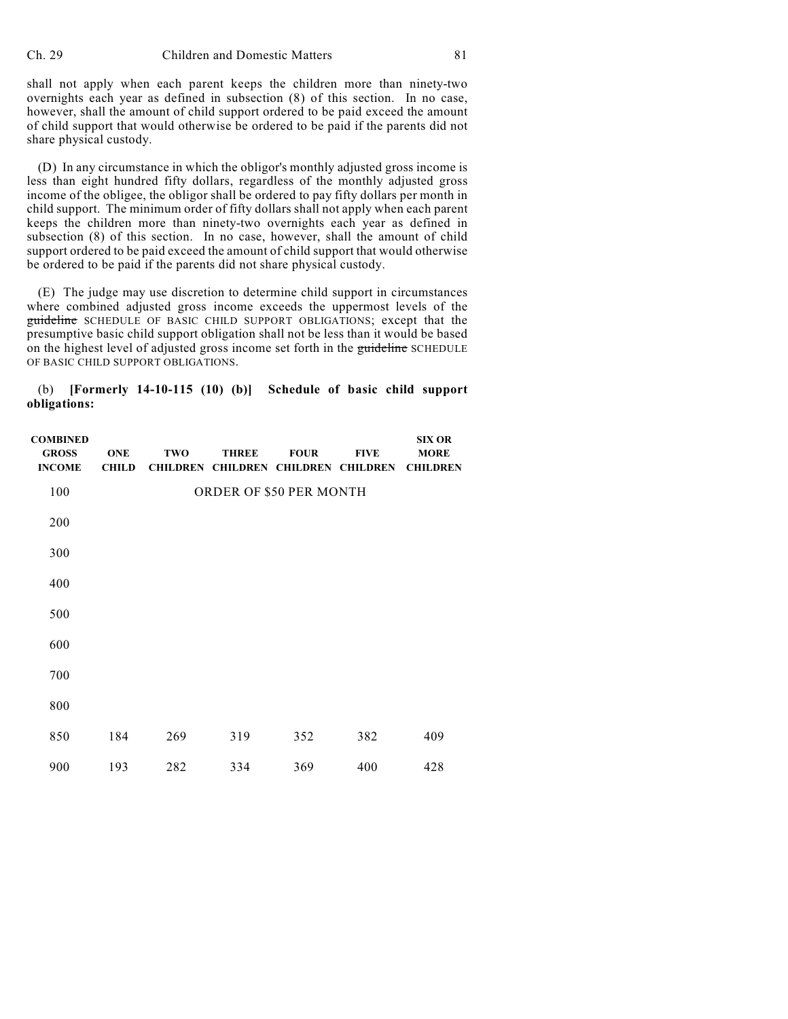shall not apply when each parent keeps the children more than ninety-two overnights each year as defined in subsection (8) of this section. In no case, however, shall the amount of child support ordered to be paid exceed the amount of child support that would otherwise be ordered to be paid if the parents did not share physical custody.

(D) In any circumstance in which the obligor's monthly adjusted gross income is less than eight hundred fifty dollars, regardless of the monthly adjusted gross income of the obligee, the obligor shall be ordered to pay fifty dollars per month in child support. The minimum order of fifty dollars shall not apply when each parent keeps the children more than ninety-two overnights each year as defined in subsection (8) of this section. In no case, however, shall the amount of child support ordered to be paid exceed the amount of child support that would otherwise be ordered to be paid if the parents did not share physical custody.

(E) The judge may use discretion to determine child support in circumstances where combined adjusted gross income exceeds the uppermost levels of the guideline SCHEDULE OF BASIC CHILD SUPPORT OBLIGATIONS; except that the presumptive basic child support obligation shall not be less than it would be based on the highest level of adjusted gross income set forth in the guideline SCHEDULE OF BASIC CHILD SUPPORT OBLIGATIONS.

(b) **[Formerly 14-10-115 (10) (b)] Schedule of basic child support obligations:**

| <b>COMBINED</b><br><b>GROSS</b><br><b>INCOME</b> | <b>ONE</b><br><b>CHILD</b> | <b>TWO</b> | <b>THREE</b><br><b>CHILDREN CHILDREN CHILDREN</b> | <b>FOUR</b> | <b>FIVE</b><br><b>CHILDREN</b> | <b>SIX OR</b><br><b>MORE</b><br><b>CHILDREN</b> |
|--------------------------------------------------|----------------------------|------------|---------------------------------------------------|-------------|--------------------------------|-------------------------------------------------|
| 100                                              |                            |            | ORDER OF \$50 PER MONTH                           |             |                                |                                                 |
| 200                                              |                            |            |                                                   |             |                                |                                                 |
| 300                                              |                            |            |                                                   |             |                                |                                                 |
| 400                                              |                            |            |                                                   |             |                                |                                                 |
| 500                                              |                            |            |                                                   |             |                                |                                                 |
| 600                                              |                            |            |                                                   |             |                                |                                                 |
| 700                                              |                            |            |                                                   |             |                                |                                                 |
| 800                                              |                            |            |                                                   |             |                                |                                                 |
| 850                                              | 184                        | 269        | 319                                               | 352         | 382                            | 409                                             |
| 900                                              | 193                        | 282        | 334                                               | 369         | 400                            | 428                                             |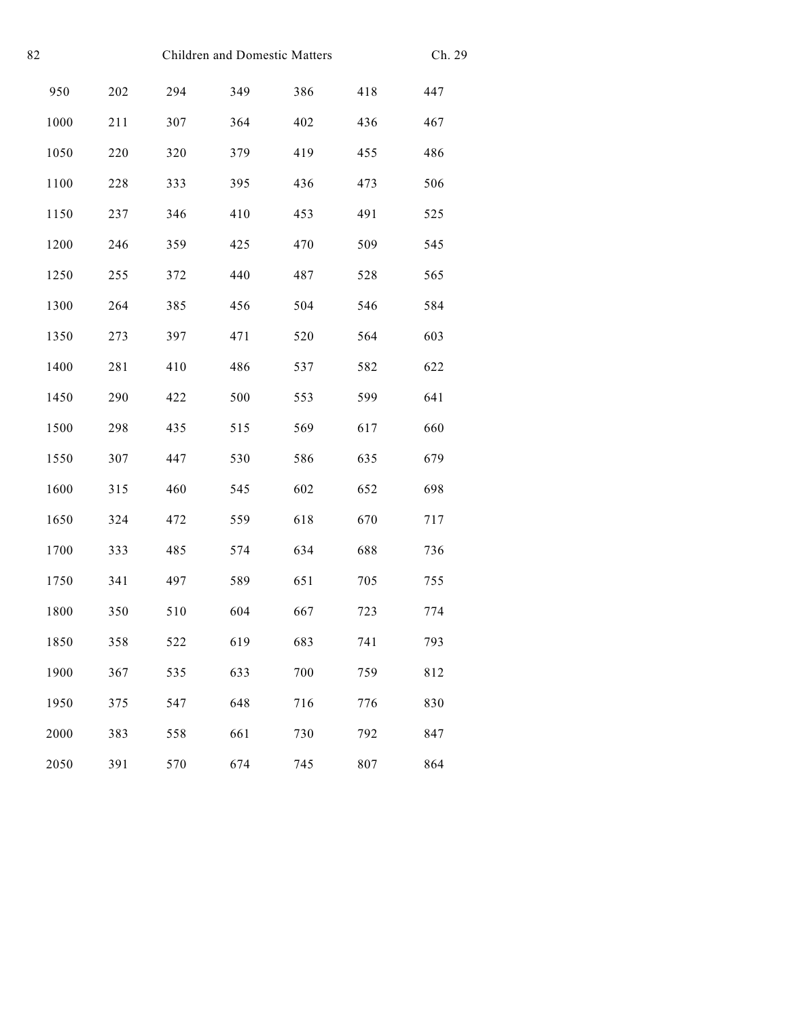| 82 | Children and Domestic Matters |     |     |     |     | Ch. 29 |     |
|----|-------------------------------|-----|-----|-----|-----|--------|-----|
|    | 950                           | 202 | 294 | 349 | 386 | 418    | 447 |
|    | 1000                          | 211 | 307 | 364 | 402 | 436    | 467 |
|    | 1050                          | 220 | 320 | 379 | 419 | 455    | 486 |
|    | 1100                          | 228 | 333 | 395 | 436 | 473    | 506 |
|    | 1150                          | 237 | 346 | 410 | 453 | 491    | 525 |
|    | 1200                          | 246 | 359 | 425 | 470 | 509    | 545 |
|    | 1250                          | 255 | 372 | 440 | 487 | 528    | 565 |
|    | 1300                          | 264 | 385 | 456 | 504 | 546    | 584 |
|    | 1350                          | 273 | 397 | 471 | 520 | 564    | 603 |
|    | 1400                          | 281 | 410 | 486 | 537 | 582    | 622 |
|    | 1450                          | 290 | 422 | 500 | 553 | 599    | 641 |
|    | 1500                          | 298 | 435 | 515 | 569 | 617    | 660 |
|    | 1550                          | 307 | 447 | 530 | 586 | 635    | 679 |
|    | 1600                          | 315 | 460 | 545 | 602 | 652    | 698 |
|    | 1650                          | 324 | 472 | 559 | 618 | 670    | 717 |
|    | 1700                          | 333 | 485 | 574 | 634 | 688    | 736 |
|    | 1750                          | 341 | 497 | 589 | 651 | 705    | 755 |
|    | 1800                          | 350 | 510 | 604 | 667 | 723    | 774 |
|    | 1850                          | 358 | 522 | 619 | 683 | 741    | 793 |
|    | 1900                          | 367 | 535 | 633 | 700 | 759    | 812 |
|    | 1950                          | 375 | 547 | 648 | 716 | 776    | 830 |
|    | 2000                          | 383 | 558 | 661 | 730 | 792    | 847 |
|    | 2050                          | 391 | 570 | 674 | 745 | 807    | 864 |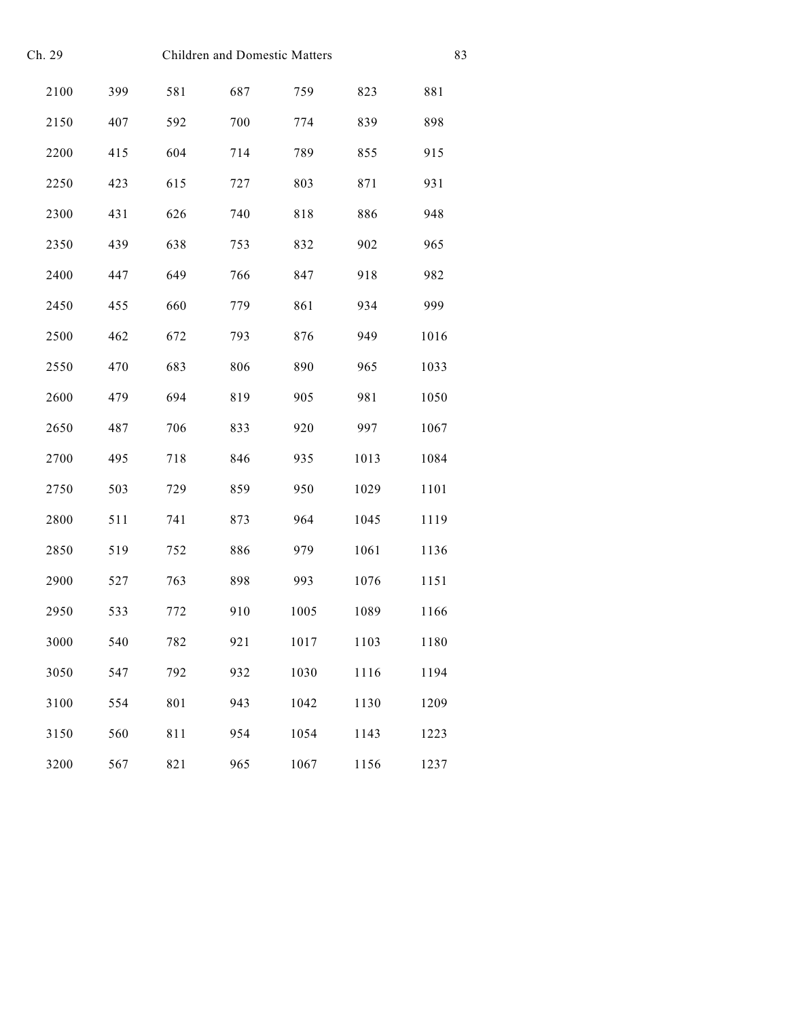| Ch. 29 | <b>Children and Domestic Matters</b> |     |     |      | 83   |      |
|--------|--------------------------------------|-----|-----|------|------|------|
| 2100   | 399                                  | 581 | 687 | 759  | 823  | 881  |
| 2150   | 407                                  | 592 | 700 | 774  | 839  | 898  |
| 2200   | 415                                  | 604 | 714 | 789  | 855  | 915  |
| 2250   | 423                                  | 615 | 727 | 803  | 871  | 931  |
| 2300   | 431                                  | 626 | 740 | 818  | 886  | 948  |
| 2350   | 439                                  | 638 | 753 | 832  | 902  | 965  |
| 2400   | 447                                  | 649 | 766 | 847  | 918  | 982  |
| 2450   | 455                                  | 660 | 779 | 861  | 934  | 999  |
| 2500   | 462                                  | 672 | 793 | 876  | 949  | 1016 |
| 2550   | 470                                  | 683 | 806 | 890  | 965  | 1033 |
| 2600   | 479                                  | 694 | 819 | 905  | 981  | 1050 |
| 2650   | 487                                  | 706 | 833 | 920  | 997  | 1067 |
| 2700   | 495                                  | 718 | 846 | 935  | 1013 | 1084 |
| 2750   | 503                                  | 729 | 859 | 950  | 1029 | 1101 |
| 2800   | 511                                  | 741 | 873 | 964  | 1045 | 1119 |
| 2850   | 519                                  | 752 | 886 | 979  | 1061 | 1136 |
| 2900   | 527                                  | 763 | 898 | 993  | 1076 | 1151 |
| 2950   | 533                                  | 772 | 910 | 1005 | 1089 | 1166 |
| 3000   | 540                                  | 782 | 921 | 1017 | 1103 | 1180 |
| 3050   | 547                                  | 792 | 932 | 1030 | 1116 | 1194 |
| 3100   | 554                                  | 801 | 943 | 1042 | 1130 | 1209 |
| 3150   | 560                                  | 811 | 954 | 1054 | 1143 | 1223 |
| 3200   | 567                                  | 821 | 965 | 1067 | 1156 | 1237 |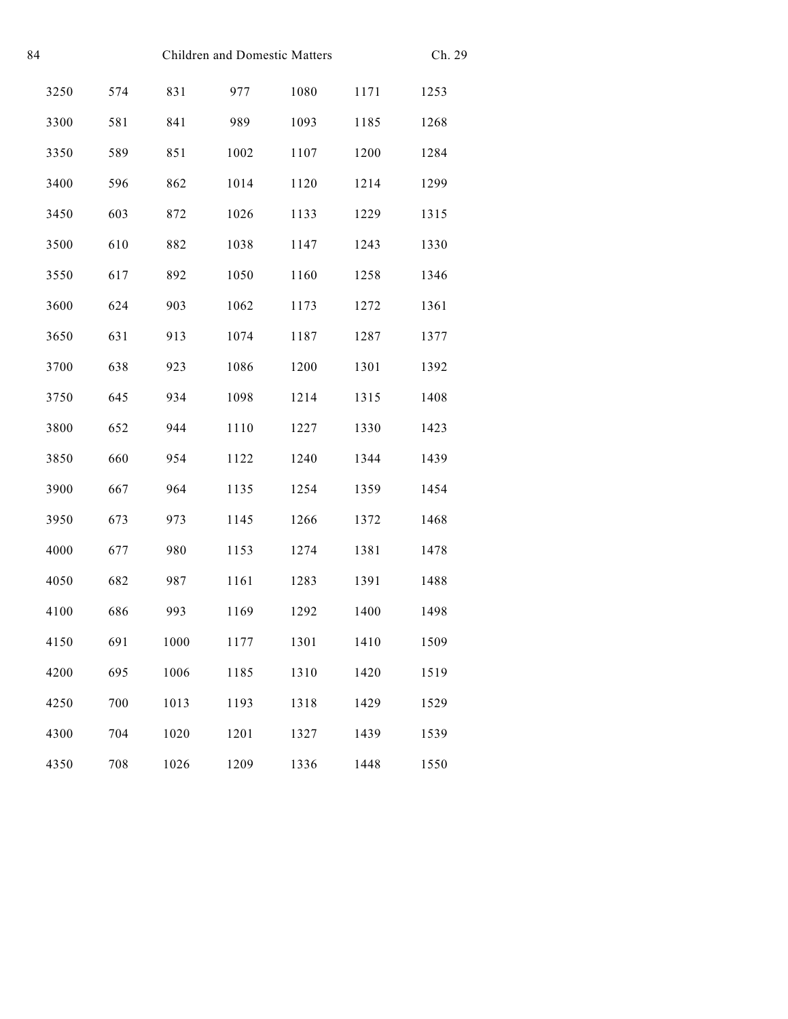| 84 | Children and Domestic Matters |     |      |      |      | Ch. 29 |      |
|----|-------------------------------|-----|------|------|------|--------|------|
|    | 3250                          | 574 | 831  | 977  | 1080 | 1171   | 1253 |
|    | 3300                          | 581 | 841  | 989  | 1093 | 1185   | 1268 |
|    | 3350                          | 589 | 851  | 1002 | 1107 | 1200   | 1284 |
|    | 3400                          | 596 | 862  | 1014 | 1120 | 1214   | 1299 |
|    | 3450                          | 603 | 872  | 1026 | 1133 | 1229   | 1315 |
|    | 3500                          | 610 | 882  | 1038 | 1147 | 1243   | 1330 |
|    | 3550                          | 617 | 892  | 1050 | 1160 | 1258   | 1346 |
|    | 3600                          | 624 | 903  | 1062 | 1173 | 1272   | 1361 |
|    | 3650                          | 631 | 913  | 1074 | 1187 | 1287   | 1377 |
|    | 3700                          | 638 | 923  | 1086 | 1200 | 1301   | 1392 |
|    | 3750                          | 645 | 934  | 1098 | 1214 | 1315   | 1408 |
|    | 3800                          | 652 | 944  | 1110 | 1227 | 1330   | 1423 |
|    | 3850                          | 660 | 954  | 1122 | 1240 | 1344   | 1439 |
|    | 3900                          | 667 | 964  | 1135 | 1254 | 1359   | 1454 |
|    | 3950                          | 673 | 973  | 1145 | 1266 | 1372   | 1468 |
|    | 4000                          | 677 | 980  | 1153 | 1274 | 1381   | 1478 |
|    | 4050                          | 682 | 987  | 1161 | 1283 | 1391   | 1488 |
|    | 4100                          | 686 | 993  | 1169 | 1292 | 1400   | 1498 |
|    | 4150                          | 691 | 1000 | 1177 | 1301 | 1410   | 1509 |
|    | 4200                          | 695 | 1006 | 1185 | 1310 | 1420   | 1519 |
|    | 4250                          | 700 | 1013 | 1193 | 1318 | 1429   | 1529 |
|    | 4300                          | 704 | 1020 | 1201 | 1327 | 1439   | 1539 |
|    | 4350                          | 708 | 1026 | 1209 | 1336 | 1448   | 1550 |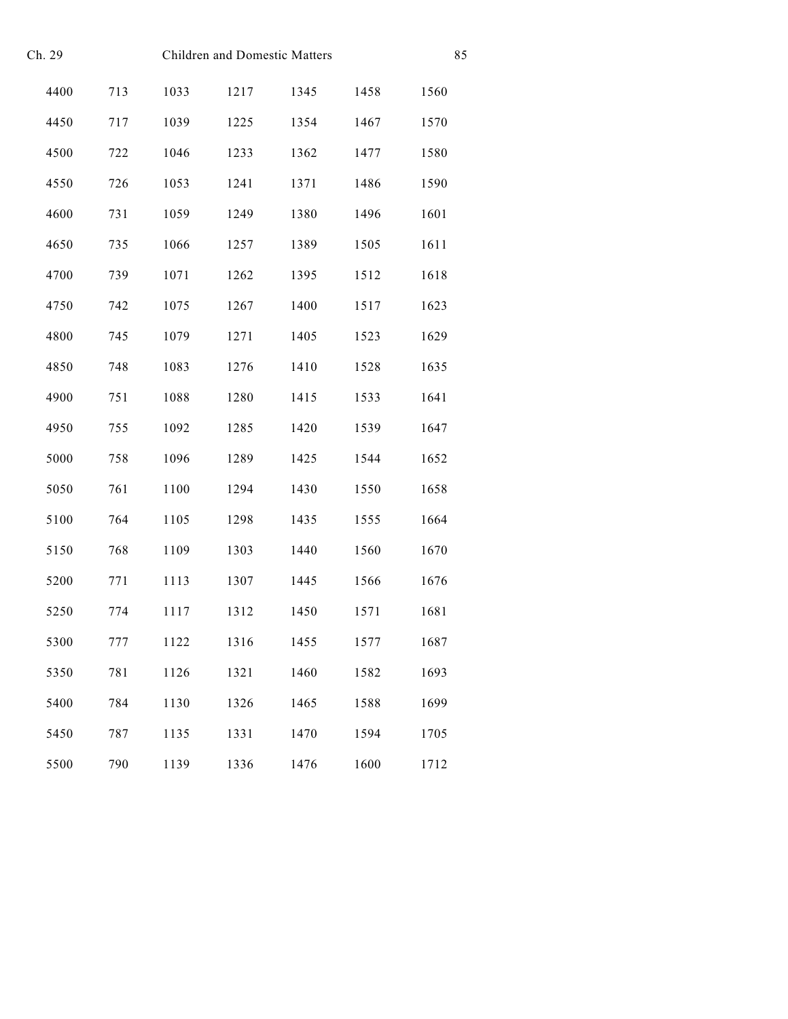| Ch. 29 |     | Children and Domestic Matters |      | 85   |      |      |
|--------|-----|-------------------------------|------|------|------|------|
| 4400   | 713 | 1033                          | 1217 | 1345 | 1458 | 1560 |
| 4450   | 717 | 1039                          | 1225 | 1354 | 1467 | 1570 |
| 4500   | 722 | 1046                          | 1233 | 1362 | 1477 | 1580 |
| 4550   | 726 | 1053                          | 1241 | 1371 | 1486 | 1590 |
| 4600   | 731 | 1059                          | 1249 | 1380 | 1496 | 1601 |
| 4650   | 735 | 1066                          | 1257 | 1389 | 1505 | 1611 |
| 4700   | 739 | 1071                          | 1262 | 1395 | 1512 | 1618 |
| 4750   | 742 | 1075                          | 1267 | 1400 | 1517 | 1623 |
| 4800   | 745 | 1079                          | 1271 | 1405 | 1523 | 1629 |
| 4850   | 748 | 1083                          | 1276 | 1410 | 1528 | 1635 |
| 4900   | 751 | 1088                          | 1280 | 1415 | 1533 | 1641 |
| 4950   | 755 | 1092                          | 1285 | 1420 | 1539 | 1647 |
| 5000   | 758 | 1096                          | 1289 | 1425 | 1544 | 1652 |
| 5050   | 761 | 1100                          | 1294 | 1430 | 1550 | 1658 |
| 5100   | 764 | 1105                          | 1298 | 1435 | 1555 | 1664 |
| 5150   | 768 | 1109                          | 1303 | 1440 | 1560 | 1670 |
| 5200   | 771 | 1113                          | 1307 | 1445 | 1566 | 1676 |
| 5250   | 774 | 1117                          | 1312 | 1450 | 1571 | 1681 |
| 5300   | 777 | 1122                          | 1316 | 1455 | 1577 | 1687 |
| 5350   | 781 | 1126                          | 1321 | 1460 | 1582 | 1693 |
| 5400   | 784 | 1130                          | 1326 | 1465 | 1588 | 1699 |
| 5450   | 787 | 1135                          | 1331 | 1470 | 1594 | 1705 |
| 5500   | 790 | 1139                          | 1336 | 1476 | 1600 | 1712 |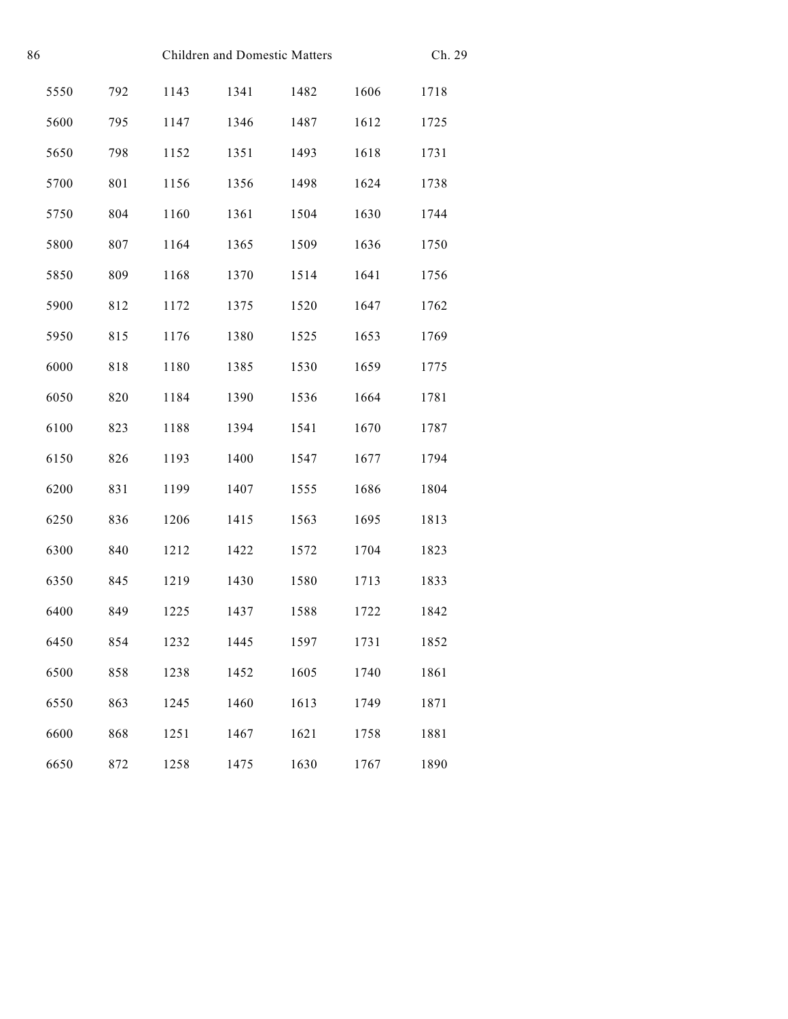| 86 | Children and Domestic Matters |     |      |      |      |      | Ch. 29 |
|----|-------------------------------|-----|------|------|------|------|--------|
|    | 5550                          | 792 | 1143 | 1341 | 1482 | 1606 | 1718   |
|    | 5600                          | 795 | 1147 | 1346 | 1487 | 1612 | 1725   |
|    | 5650                          | 798 | 1152 | 1351 | 1493 | 1618 | 1731   |
|    | 5700                          | 801 | 1156 | 1356 | 1498 | 1624 | 1738   |
|    | 5750                          | 804 | 1160 | 1361 | 1504 | 1630 | 1744   |
|    | 5800                          | 807 | 1164 | 1365 | 1509 | 1636 | 1750   |
|    | 5850                          | 809 | 1168 | 1370 | 1514 | 1641 | 1756   |
|    | 5900                          | 812 | 1172 | 1375 | 1520 | 1647 | 1762   |
|    | 5950                          | 815 | 1176 | 1380 | 1525 | 1653 | 1769   |
|    | 6000                          | 818 | 1180 | 1385 | 1530 | 1659 | 1775   |
|    | 6050                          | 820 | 1184 | 1390 | 1536 | 1664 | 1781   |
|    | 6100                          | 823 | 1188 | 1394 | 1541 | 1670 | 1787   |
|    | 6150                          | 826 | 1193 | 1400 | 1547 | 1677 | 1794   |
|    | 6200                          | 831 | 1199 | 1407 | 1555 | 1686 | 1804   |
|    | 6250                          | 836 | 1206 | 1415 | 1563 | 1695 | 1813   |
|    | 6300                          | 840 | 1212 | 1422 | 1572 | 1704 | 1823   |
|    | 6350                          | 845 | 1219 | 1430 | 1580 | 1713 | 1833   |
|    | 6400                          | 849 | 1225 | 1437 | 1588 | 1722 | 1842   |
|    | 6450                          | 854 | 1232 | 1445 | 1597 | 1731 | 1852   |
|    | 6500                          | 858 | 1238 | 1452 | 1605 | 1740 | 1861   |
|    | 6550                          | 863 | 1245 | 1460 | 1613 | 1749 | 1871   |
|    | 6600                          | 868 | 1251 | 1467 | 1621 | 1758 | 1881   |
|    | 6650                          | 872 | 1258 | 1475 | 1630 | 1767 | 1890   |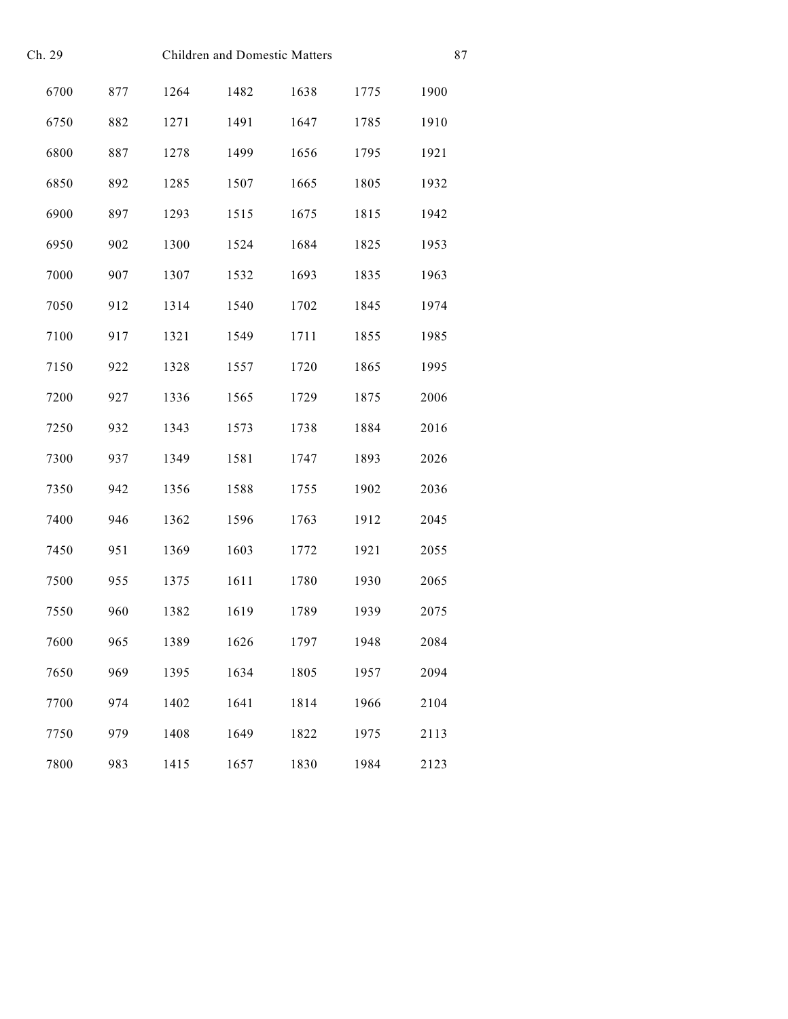| Ch. 29 |     | Children and Domestic Matters |      | 87   |      |      |
|--------|-----|-------------------------------|------|------|------|------|
| 6700   | 877 | 1264                          | 1482 | 1638 | 1775 | 1900 |
| 6750   | 882 | 1271                          | 1491 | 1647 | 1785 | 1910 |
| 6800   | 887 | 1278                          | 1499 | 1656 | 1795 | 1921 |
| 6850   | 892 | 1285                          | 1507 | 1665 | 1805 | 1932 |
| 6900   | 897 | 1293                          | 1515 | 1675 | 1815 | 1942 |
| 6950   | 902 | 1300                          | 1524 | 1684 | 1825 | 1953 |
| 7000   | 907 | 1307                          | 1532 | 1693 | 1835 | 1963 |
| 7050   | 912 | 1314                          | 1540 | 1702 | 1845 | 1974 |
| 7100   | 917 | 1321                          | 1549 | 1711 | 1855 | 1985 |
| 7150   | 922 | 1328                          | 1557 | 1720 | 1865 | 1995 |
| 7200   | 927 | 1336                          | 1565 | 1729 | 1875 | 2006 |
| 7250   | 932 | 1343                          | 1573 | 1738 | 1884 | 2016 |
| 7300   | 937 | 1349                          | 1581 | 1747 | 1893 | 2026 |
| 7350   | 942 | 1356                          | 1588 | 1755 | 1902 | 2036 |
| 7400   | 946 | 1362                          | 1596 | 1763 | 1912 | 2045 |
| 7450   | 951 | 1369                          | 1603 | 1772 | 1921 | 2055 |
| 7500   | 955 | 1375                          | 1611 | 1780 | 1930 | 2065 |
| 7550   | 960 | 1382                          | 1619 | 1789 | 1939 | 2075 |
| 7600   | 965 | 1389                          | 1626 | 1797 | 1948 | 2084 |
| 7650   | 969 | 1395                          | 1634 | 1805 | 1957 | 2094 |
| 7700   | 974 | 1402                          | 1641 | 1814 | 1966 | 2104 |
| 7750   | 979 | 1408                          | 1649 | 1822 | 1975 | 2113 |
| 7800   | 983 | 1415                          | 1657 | 1830 | 1984 | 2123 |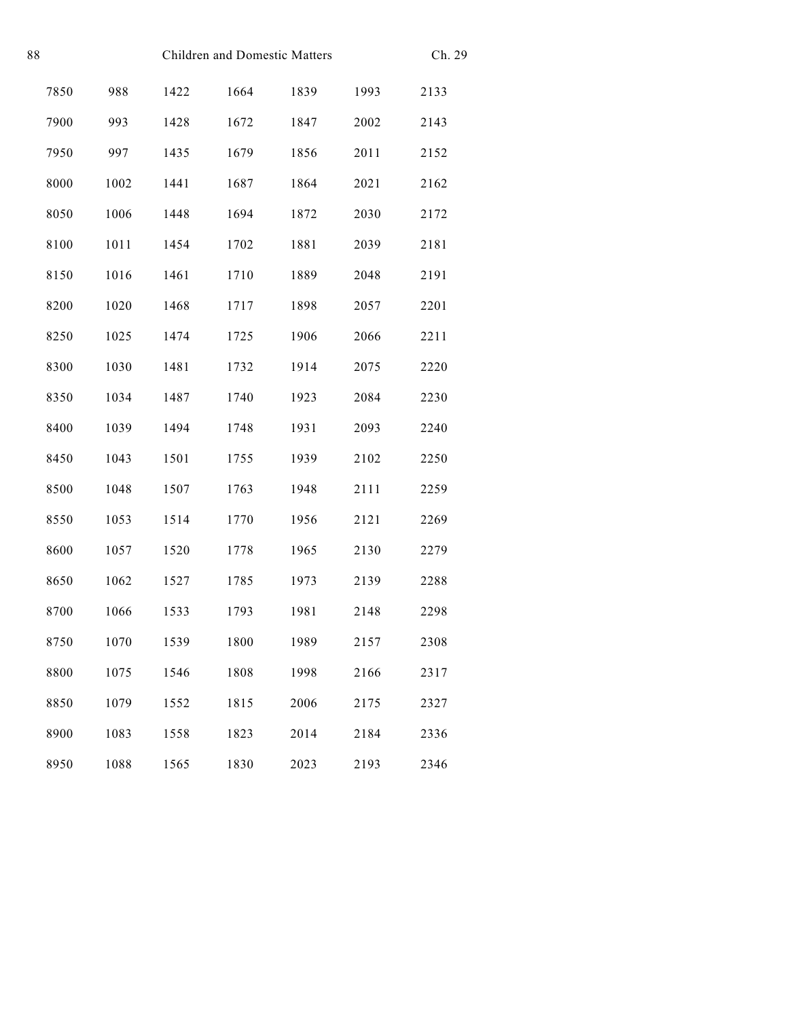| 88 | Children and Domestic Matters |      |      |      |      | Ch. 29 |      |
|----|-------------------------------|------|------|------|------|--------|------|
|    | 7850                          | 988  | 1422 | 1664 | 1839 | 1993   | 2133 |
|    | 7900                          | 993  | 1428 | 1672 | 1847 | 2002   | 2143 |
|    | 7950                          | 997  | 1435 | 1679 | 1856 | 2011   | 2152 |
|    | 8000                          | 1002 | 1441 | 1687 | 1864 | 2021   | 2162 |
|    | 8050                          | 1006 | 1448 | 1694 | 1872 | 2030   | 2172 |
|    | 8100                          | 1011 | 1454 | 1702 | 1881 | 2039   | 2181 |
|    | 8150                          | 1016 | 1461 | 1710 | 1889 | 2048   | 2191 |
|    | 8200                          | 1020 | 1468 | 1717 | 1898 | 2057   | 2201 |
|    | 8250                          | 1025 | 1474 | 1725 | 1906 | 2066   | 2211 |
|    | 8300                          | 1030 | 1481 | 1732 | 1914 | 2075   | 2220 |
|    | 8350                          | 1034 | 1487 | 1740 | 1923 | 2084   | 2230 |
|    | 8400                          | 1039 | 1494 | 1748 | 1931 | 2093   | 2240 |
|    | 8450                          | 1043 | 1501 | 1755 | 1939 | 2102   | 2250 |
|    | 8500                          | 1048 | 1507 | 1763 | 1948 | 2111   | 2259 |
|    | 8550                          | 1053 | 1514 | 1770 | 1956 | 2121   | 2269 |
|    | 8600                          | 1057 | 1520 | 1778 | 1965 | 2130   | 2279 |
|    | 8650                          | 1062 | 1527 | 1785 | 1973 | 2139   | 2288 |
|    | 8700                          | 1066 | 1533 | 1793 | 1981 | 2148   | 2298 |
|    | 8750                          | 1070 | 1539 | 1800 | 1989 | 2157   | 2308 |
|    | 8800                          | 1075 | 1546 | 1808 | 1998 | 2166   | 2317 |
|    | 8850                          | 1079 | 1552 | 1815 | 2006 | 2175   | 2327 |
|    | 8900                          | 1083 | 1558 | 1823 | 2014 | 2184   | 2336 |
|    | 8950                          | 1088 | 1565 | 1830 | 2023 | 2193   | 2346 |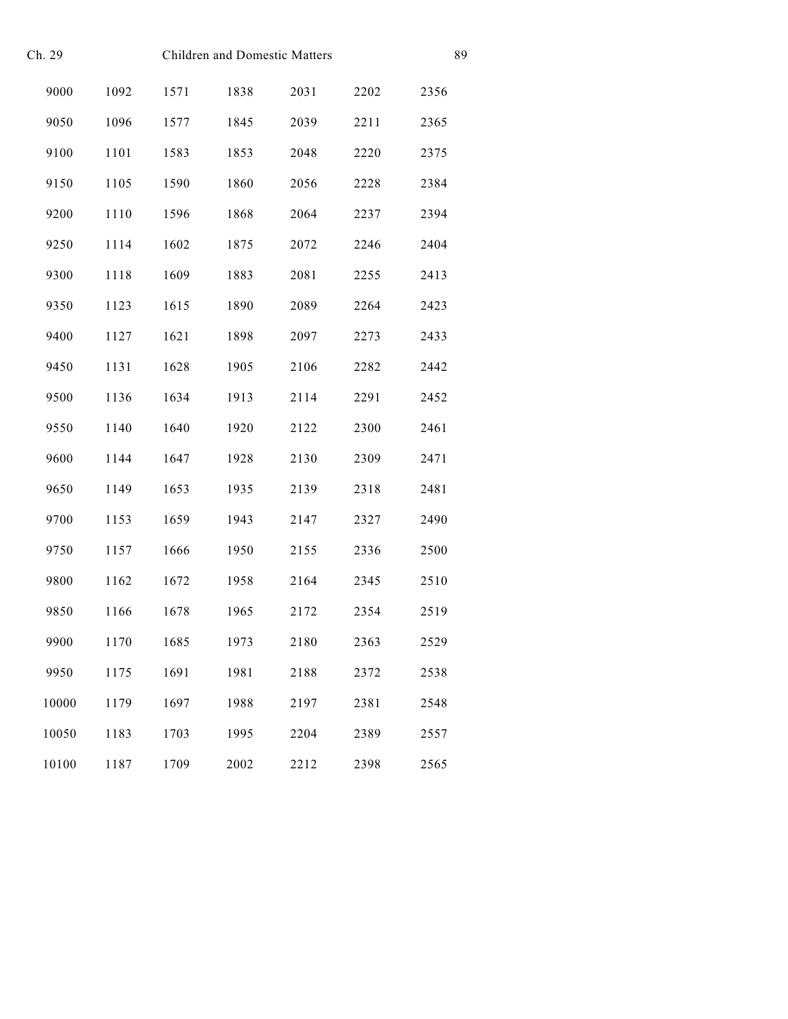| Ch. 29<br>Children and Domestic Matters |      |      |      |      |      | 89   |
|-----------------------------------------|------|------|------|------|------|------|
| 9000                                    | 1092 | 1571 | 1838 | 2031 | 2202 | 2356 |
| 9050                                    | 1096 | 1577 | 1845 | 2039 | 2211 | 2365 |
| 9100                                    | 1101 | 1583 | 1853 | 2048 | 2220 | 2375 |
| 9150                                    | 1105 | 1590 | 1860 | 2056 | 2228 | 2384 |
| 9200                                    | 1110 | 1596 | 1868 | 2064 | 2237 | 2394 |
| 9250                                    | 1114 | 1602 | 1875 | 2072 | 2246 | 2404 |
| 9300                                    | 1118 | 1609 | 1883 | 2081 | 2255 | 2413 |
| 9350                                    | 1123 | 1615 | 1890 | 2089 | 2264 | 2423 |
| 9400                                    | 1127 | 1621 | 1898 | 2097 | 2273 | 2433 |
| 9450                                    | 1131 | 1628 | 1905 | 2106 | 2282 | 2442 |
| 9500                                    | 1136 | 1634 | 1913 | 2114 | 2291 | 2452 |
| 9550                                    | 1140 | 1640 | 1920 | 2122 | 2300 | 2461 |
| 9600                                    | 1144 | 1647 | 1928 | 2130 | 2309 | 2471 |
| 9650                                    | 1149 | 1653 | 1935 | 2139 | 2318 | 2481 |
| 9700                                    | 1153 | 1659 | 1943 | 2147 | 2327 | 2490 |
| 9750                                    | 1157 | 1666 | 1950 | 2155 | 2336 | 2500 |
| 9800                                    | 1162 | 1672 | 1958 | 2164 | 2345 | 2510 |
| 9850                                    | 1166 | 1678 | 1965 | 2172 | 2354 | 2519 |
| 9900                                    | 1170 | 1685 | 1973 | 2180 | 2363 | 2529 |
| 9950                                    | 1175 | 1691 | 1981 | 2188 | 2372 | 2538 |
| 10000                                   | 1179 | 1697 | 1988 | 2197 | 2381 | 2548 |
| 10050                                   | 1183 | 1703 | 1995 | 2204 | 2389 | 2557 |
| 10100                                   | 1187 | 1709 | 2002 | 2212 | 2398 | 2565 |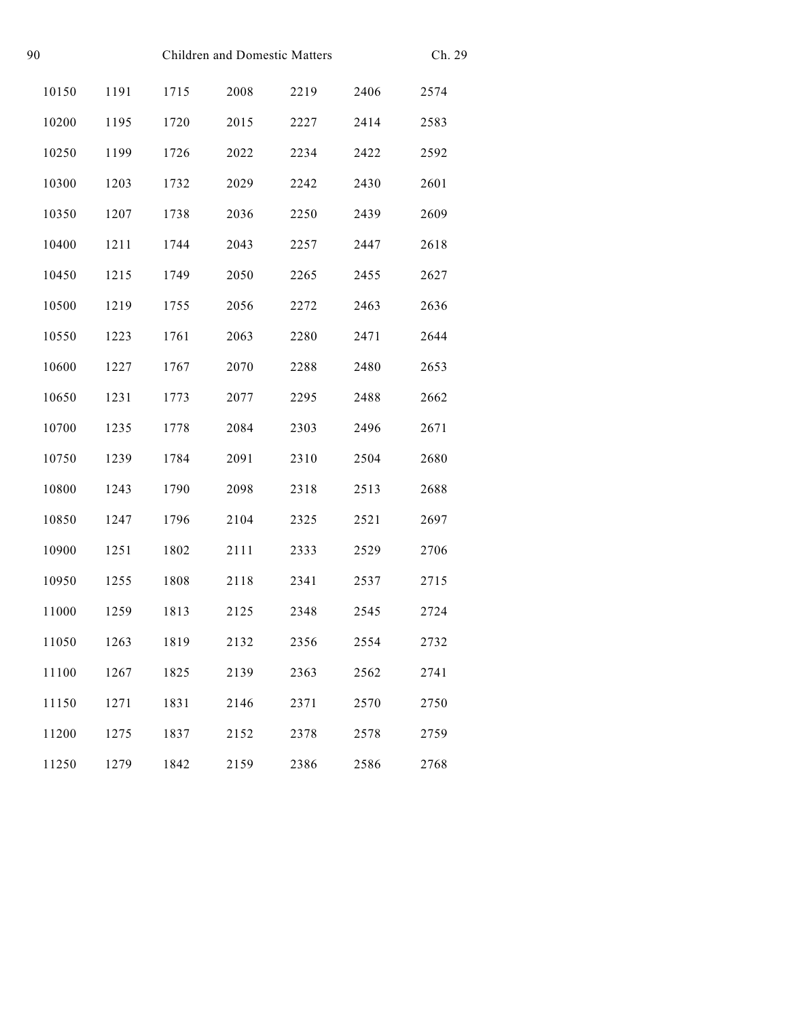| 90<br><b>Children and Domestic Matters</b> |       |      |      |      |      | Ch. 29 |      |
|--------------------------------------------|-------|------|------|------|------|--------|------|
|                                            | 10150 | 1191 | 1715 | 2008 | 2219 | 2406   | 2574 |
|                                            | 10200 | 1195 | 1720 | 2015 | 2227 | 2414   | 2583 |
|                                            | 10250 | 1199 | 1726 | 2022 | 2234 | 2422   | 2592 |
|                                            | 10300 | 1203 | 1732 | 2029 | 2242 | 2430   | 2601 |
|                                            | 10350 | 1207 | 1738 | 2036 | 2250 | 2439   | 2609 |
|                                            | 10400 | 1211 | 1744 | 2043 | 2257 | 2447   | 2618 |
|                                            | 10450 | 1215 | 1749 | 2050 | 2265 | 2455   | 2627 |
|                                            | 10500 | 1219 | 1755 | 2056 | 2272 | 2463   | 2636 |
|                                            | 10550 | 1223 | 1761 | 2063 | 2280 | 2471   | 2644 |
|                                            | 10600 | 1227 | 1767 | 2070 | 2288 | 2480   | 2653 |
|                                            | 10650 | 1231 | 1773 | 2077 | 2295 | 2488   | 2662 |
|                                            | 10700 | 1235 | 1778 | 2084 | 2303 | 2496   | 2671 |
|                                            | 10750 | 1239 | 1784 | 2091 | 2310 | 2504   | 2680 |
|                                            | 10800 | 1243 | 1790 | 2098 | 2318 | 2513   | 2688 |
|                                            | 10850 | 1247 | 1796 | 2104 | 2325 | 2521   | 2697 |
|                                            | 10900 | 1251 | 1802 | 2111 | 2333 | 2529   | 2706 |
|                                            | 10950 | 1255 | 1808 | 2118 | 2341 | 2537   | 2715 |
|                                            | 11000 | 1259 | 1813 | 2125 | 2348 | 2545   | 2724 |
|                                            | 11050 | 1263 | 1819 | 2132 | 2356 | 2554   | 2732 |
|                                            | 11100 | 1267 | 1825 | 2139 | 2363 | 2562   | 2741 |
|                                            | 11150 | 1271 | 1831 | 2146 | 2371 | 2570   | 2750 |
|                                            | 11200 | 1275 | 1837 | 2152 | 2378 | 2578   | 2759 |
|                                            | 11250 | 1279 | 1842 | 2159 | 2386 | 2586   | 2768 |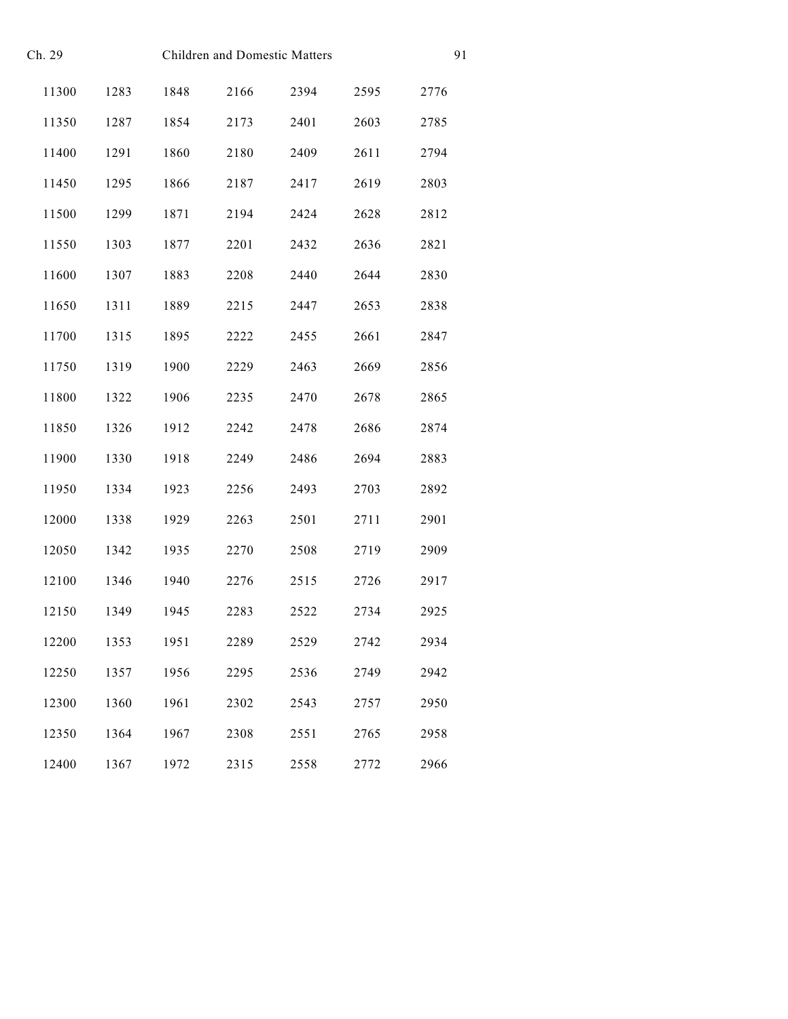| Ch. 29 |      |      | <b>Children and Domestic Matters</b> |      |      |      |  |  |
|--------|------|------|--------------------------------------|------|------|------|--|--|
| 11300  | 1283 | 1848 | 2166                                 | 2394 | 2595 | 2776 |  |  |
| 11350  | 1287 | 1854 | 2173                                 | 2401 | 2603 | 2785 |  |  |
| 11400  | 1291 | 1860 | 2180                                 | 2409 | 2611 | 2794 |  |  |
| 11450  | 1295 | 1866 | 2187                                 | 2417 | 2619 | 2803 |  |  |
| 11500  | 1299 | 1871 | 2194                                 | 2424 | 2628 | 2812 |  |  |
| 11550  | 1303 | 1877 | 2201                                 | 2432 | 2636 | 2821 |  |  |
| 11600  | 1307 | 1883 | 2208                                 | 2440 | 2644 | 2830 |  |  |
| 11650  | 1311 | 1889 | 2215                                 | 2447 | 2653 | 2838 |  |  |
| 11700  | 1315 | 1895 | 2222                                 | 2455 | 2661 | 2847 |  |  |
| 11750  | 1319 | 1900 | 2229                                 | 2463 | 2669 | 2856 |  |  |
| 11800  | 1322 | 1906 | 2235                                 | 2470 | 2678 | 2865 |  |  |
| 11850  | 1326 | 1912 | 2242                                 | 2478 | 2686 | 2874 |  |  |
| 11900  | 1330 | 1918 | 2249                                 | 2486 | 2694 | 2883 |  |  |
| 11950  | 1334 | 1923 | 2256                                 | 2493 | 2703 | 2892 |  |  |
| 12000  | 1338 | 1929 | 2263                                 | 2501 | 2711 | 2901 |  |  |
| 12050  | 1342 | 1935 | 2270                                 | 2508 | 2719 | 2909 |  |  |
| 12100  | 1346 | 1940 | 2276                                 | 2515 | 2726 | 2917 |  |  |
| 12150  | 1349 | 1945 | 2283                                 | 2522 | 2734 | 2925 |  |  |
| 12200  | 1353 | 1951 | 2289                                 | 2529 | 2742 | 2934 |  |  |
| 12250  | 1357 | 1956 | 2295                                 | 2536 | 2749 | 2942 |  |  |
| 12300  | 1360 | 1961 | 2302                                 | 2543 | 2757 | 2950 |  |  |
| 12350  | 1364 | 1967 | 2308                                 | 2551 | 2765 | 2958 |  |  |
| 12400  | 1367 | 1972 | 2315                                 | 2558 | 2772 | 2966 |  |  |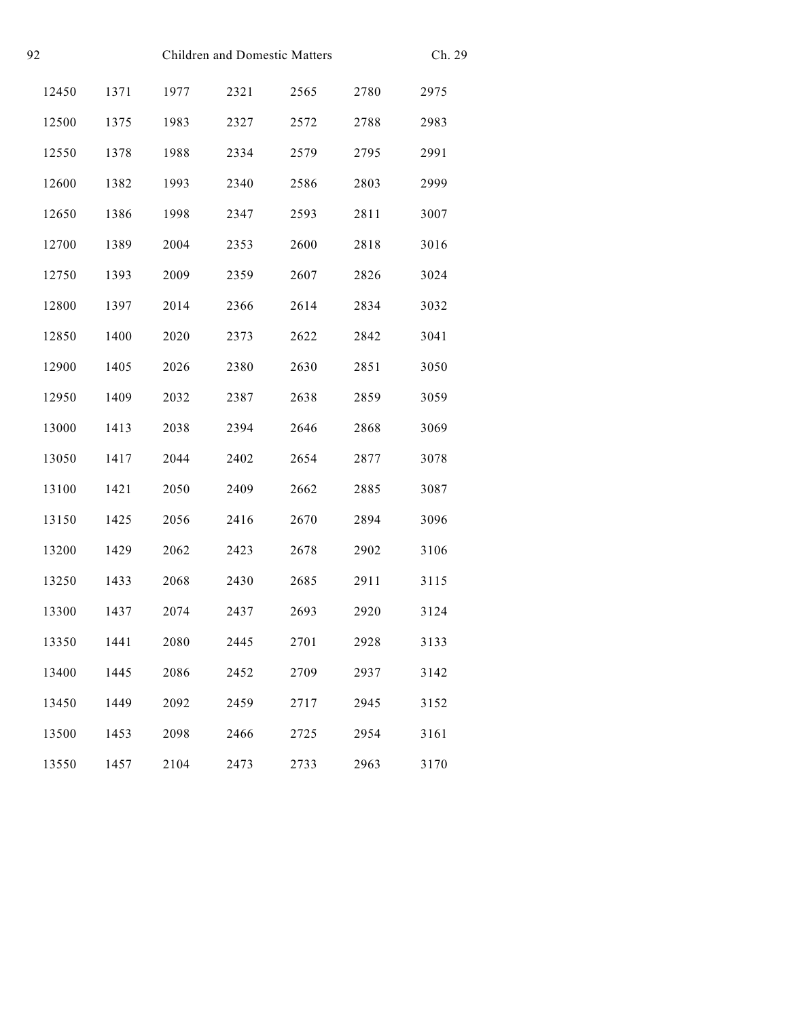| 92<br><b>Children and Domestic Matters</b> |       |      |      |      |      | Ch. 29 |      |
|--------------------------------------------|-------|------|------|------|------|--------|------|
|                                            | 12450 | 1371 | 1977 | 2321 | 2565 | 2780   | 2975 |
|                                            | 12500 | 1375 | 1983 | 2327 | 2572 | 2788   | 2983 |
|                                            | 12550 | 1378 | 1988 | 2334 | 2579 | 2795   | 2991 |
|                                            | 12600 | 1382 | 1993 | 2340 | 2586 | 2803   | 2999 |
|                                            | 12650 | 1386 | 1998 | 2347 | 2593 | 2811   | 3007 |
|                                            | 12700 | 1389 | 2004 | 2353 | 2600 | 2818   | 3016 |
|                                            | 12750 | 1393 | 2009 | 2359 | 2607 | 2826   | 3024 |
|                                            | 12800 | 1397 | 2014 | 2366 | 2614 | 2834   | 3032 |
|                                            | 12850 | 1400 | 2020 | 2373 | 2622 | 2842   | 3041 |
|                                            | 12900 | 1405 | 2026 | 2380 | 2630 | 2851   | 3050 |
|                                            | 12950 | 1409 | 2032 | 2387 | 2638 | 2859   | 3059 |
|                                            | 13000 | 1413 | 2038 | 2394 | 2646 | 2868   | 3069 |
|                                            | 13050 | 1417 | 2044 | 2402 | 2654 | 2877   | 3078 |
|                                            | 13100 | 1421 | 2050 | 2409 | 2662 | 2885   | 3087 |
|                                            | 13150 | 1425 | 2056 | 2416 | 2670 | 2894   | 3096 |
|                                            | 13200 | 1429 | 2062 | 2423 | 2678 | 2902   | 3106 |
|                                            | 13250 | 1433 | 2068 | 2430 | 2685 | 2911   | 3115 |
|                                            | 13300 | 1437 | 2074 | 2437 | 2693 | 2920   | 3124 |
|                                            | 13350 | 1441 | 2080 | 2445 | 2701 | 2928   | 3133 |
|                                            | 13400 | 1445 | 2086 | 2452 | 2709 | 2937   | 3142 |
|                                            | 13450 | 1449 | 2092 | 2459 | 2717 | 2945   | 3152 |
|                                            | 13500 | 1453 | 2098 | 2466 | 2725 | 2954   | 3161 |
|                                            | 13550 | 1457 | 2104 | 2473 | 2733 | 2963   | 3170 |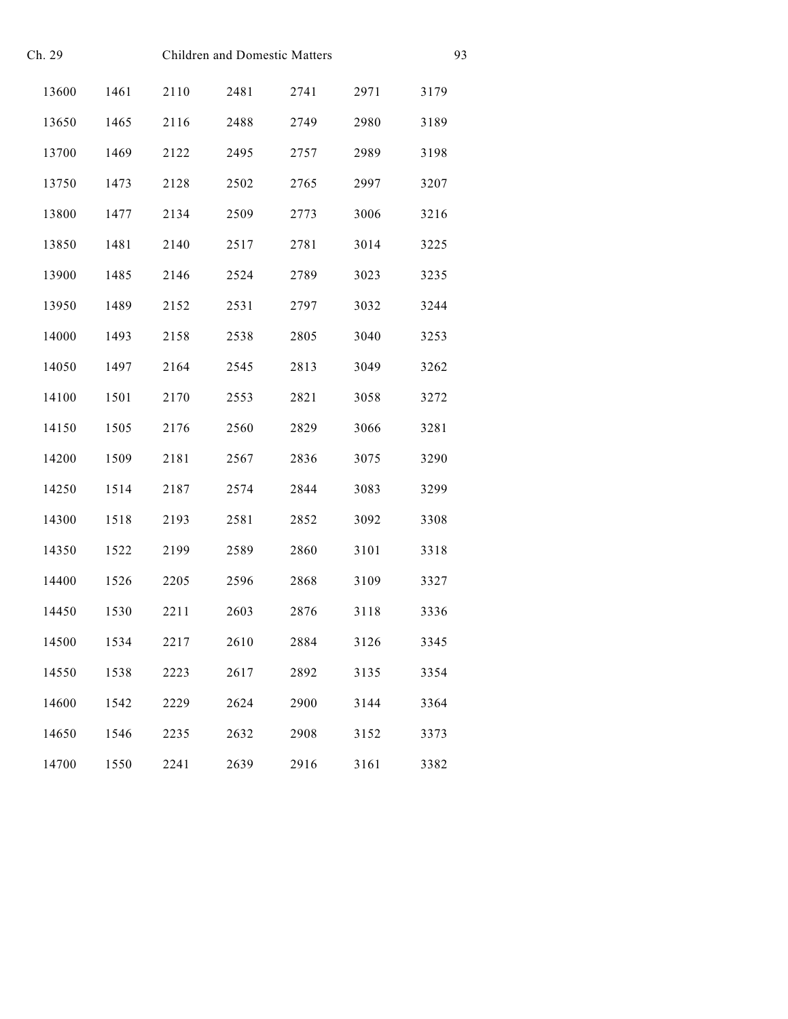| Ch. 29 |       |      |      |      | Children and Domestic Matters |      |      |  |
|--------|-------|------|------|------|-------------------------------|------|------|--|
|        | 13600 | 1461 | 2110 | 2481 | 2741                          | 2971 | 3179 |  |
|        | 13650 | 1465 | 2116 | 2488 | 2749                          | 2980 | 3189 |  |
|        | 13700 | 1469 | 2122 | 2495 | 2757                          | 2989 | 3198 |  |
|        | 13750 | 1473 | 2128 | 2502 | 2765                          | 2997 | 3207 |  |
|        | 13800 | 1477 | 2134 | 2509 | 2773                          | 3006 | 3216 |  |
|        | 13850 | 1481 | 2140 | 2517 | 2781                          | 3014 | 3225 |  |
|        | 13900 | 1485 | 2146 | 2524 | 2789                          | 3023 | 3235 |  |
|        | 13950 | 1489 | 2152 | 2531 | 2797                          | 3032 | 3244 |  |
|        | 14000 | 1493 | 2158 | 2538 | 2805                          | 3040 | 3253 |  |
|        | 14050 | 1497 | 2164 | 2545 | 2813                          | 3049 | 3262 |  |
|        | 14100 | 1501 | 2170 | 2553 | 2821                          | 3058 | 3272 |  |
|        | 14150 | 1505 | 2176 | 2560 | 2829                          | 3066 | 3281 |  |
|        | 14200 | 1509 | 2181 | 2567 | 2836                          | 3075 | 3290 |  |
|        | 14250 | 1514 | 2187 | 2574 | 2844                          | 3083 | 3299 |  |
|        | 14300 | 1518 | 2193 | 2581 | 2852                          | 3092 | 3308 |  |
|        | 14350 | 1522 | 2199 | 2589 | 2860                          | 3101 | 3318 |  |
|        | 14400 | 1526 | 2205 | 2596 | 2868                          | 3109 | 3327 |  |
|        | 14450 | 1530 | 2211 | 2603 | 2876                          | 3118 | 3336 |  |
|        | 14500 | 1534 | 2217 | 2610 | 2884                          | 3126 | 3345 |  |
|        | 14550 | 1538 | 2223 | 2617 | 2892                          | 3135 | 3354 |  |
|        | 14600 | 1542 | 2229 | 2624 | 2900                          | 3144 | 3364 |  |
|        | 14650 | 1546 | 2235 | 2632 | 2908                          | 3152 | 3373 |  |
|        | 14700 | 1550 | 2241 | 2639 | 2916                          | 3161 | 3382 |  |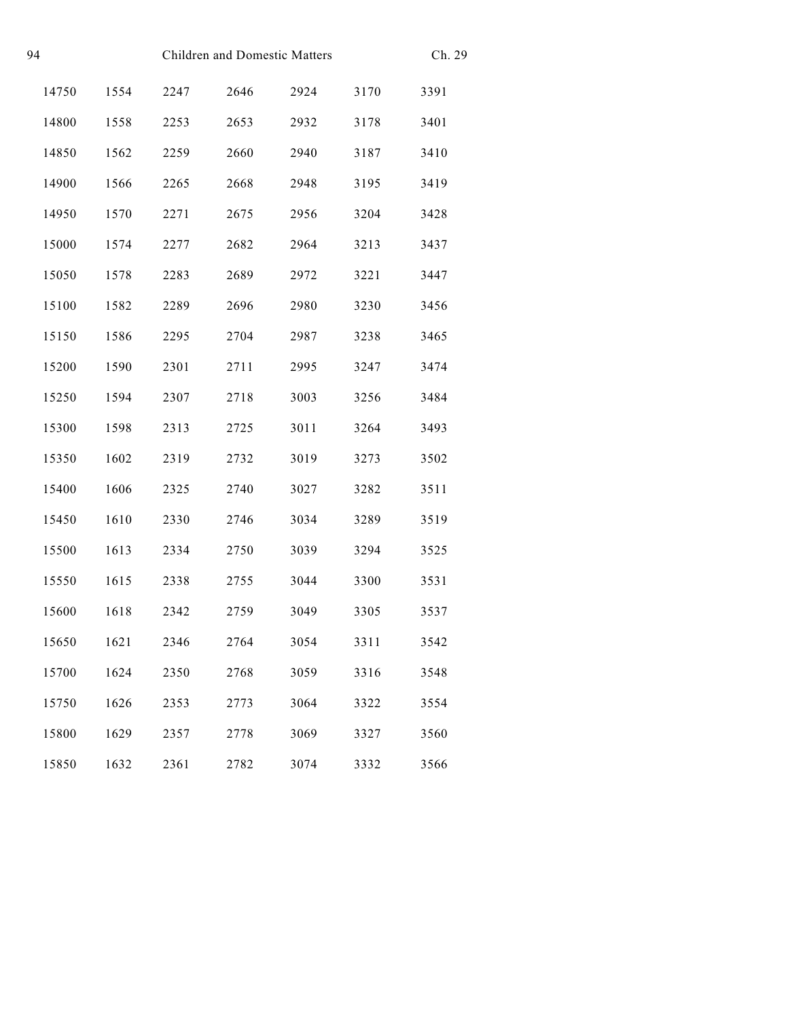| 94 |       |      |      | <b>Children and Domestic Matters</b> |      |      |      |
|----|-------|------|------|--------------------------------------|------|------|------|
|    | 14750 | 1554 | 2247 | 2646                                 | 2924 | 3170 | 3391 |
|    | 14800 | 1558 | 2253 | 2653                                 | 2932 | 3178 | 3401 |
|    | 14850 | 1562 | 2259 | 2660                                 | 2940 | 3187 | 3410 |
|    | 14900 | 1566 | 2265 | 2668                                 | 2948 | 3195 | 3419 |
|    | 14950 | 1570 | 2271 | 2675                                 | 2956 | 3204 | 3428 |
|    | 15000 | 1574 | 2277 | 2682                                 | 2964 | 3213 | 3437 |
|    | 15050 | 1578 | 2283 | 2689                                 | 2972 | 3221 | 3447 |
|    | 15100 | 1582 | 2289 | 2696                                 | 2980 | 3230 | 3456 |
|    | 15150 | 1586 | 2295 | 2704                                 | 2987 | 3238 | 3465 |
|    | 15200 | 1590 | 2301 | 2711                                 | 2995 | 3247 | 3474 |
|    | 15250 | 1594 | 2307 | 2718                                 | 3003 | 3256 | 3484 |
|    | 15300 | 1598 | 2313 | 2725                                 | 3011 | 3264 | 3493 |
|    | 15350 | 1602 | 2319 | 2732                                 | 3019 | 3273 | 3502 |
|    | 15400 | 1606 | 2325 | 2740                                 | 3027 | 3282 | 3511 |
|    | 15450 | 1610 | 2330 | 2746                                 | 3034 | 3289 | 3519 |
|    | 15500 | 1613 | 2334 | 2750                                 | 3039 | 3294 | 3525 |
|    | 15550 | 1615 | 2338 | 2755                                 | 3044 | 3300 | 3531 |
|    | 15600 | 1618 | 2342 | 2759                                 | 3049 | 3305 | 3537 |
|    | 15650 | 1621 | 2346 | 2764                                 | 3054 | 3311 | 3542 |
|    | 15700 | 1624 | 2350 | 2768                                 | 3059 | 3316 | 3548 |
|    | 15750 | 1626 | 2353 | 2773                                 | 3064 | 3322 | 3554 |
|    | 15800 | 1629 | 2357 | 2778                                 | 3069 | 3327 | 3560 |
|    | 15850 | 1632 | 2361 | 2782                                 | 3074 | 3332 | 3566 |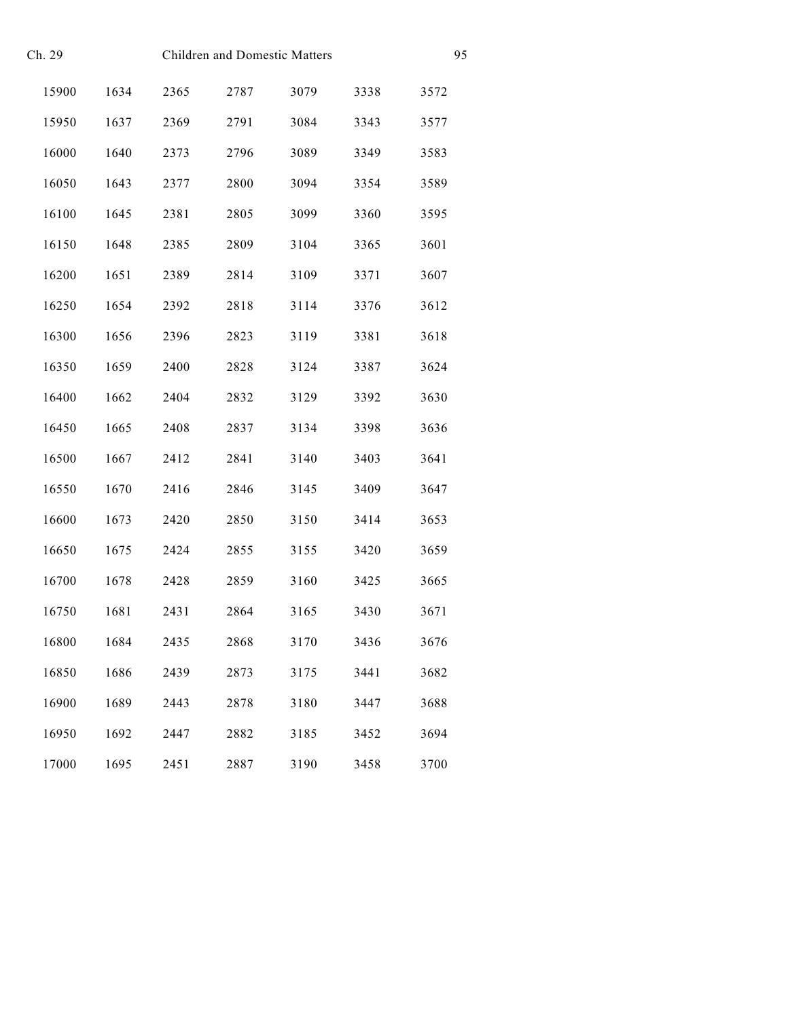| Ch. 29 |       |      |      | Children and Domestic Matters |      | 95   |      |
|--------|-------|------|------|-------------------------------|------|------|------|
|        | 15900 | 1634 | 2365 | 2787                          | 3079 | 3338 | 3572 |
|        | 15950 | 1637 | 2369 | 2791                          | 3084 | 3343 | 3577 |
|        | 16000 | 1640 | 2373 | 2796                          | 3089 | 3349 | 3583 |
|        | 16050 | 1643 | 2377 | 2800                          | 3094 | 3354 | 3589 |
|        | 16100 | 1645 | 2381 | 2805                          | 3099 | 3360 | 3595 |
|        | 16150 | 1648 | 2385 | 2809                          | 3104 | 3365 | 3601 |
|        | 16200 | 1651 | 2389 | 2814                          | 3109 | 3371 | 3607 |
|        | 16250 | 1654 | 2392 | 2818                          | 3114 | 3376 | 3612 |
|        | 16300 | 1656 | 2396 | 2823                          | 3119 | 3381 | 3618 |
|        | 16350 | 1659 | 2400 | 2828                          | 3124 | 3387 | 3624 |
|        | 16400 | 1662 | 2404 | 2832                          | 3129 | 3392 | 3630 |
|        | 16450 | 1665 | 2408 | 2837                          | 3134 | 3398 | 3636 |
|        | 16500 | 1667 | 2412 | 2841                          | 3140 | 3403 | 3641 |
|        | 16550 | 1670 | 2416 | 2846                          | 3145 | 3409 | 3647 |
|        | 16600 | 1673 | 2420 | 2850                          | 3150 | 3414 | 3653 |
|        | 16650 | 1675 | 2424 | 2855                          | 3155 | 3420 | 3659 |
|        | 16700 | 1678 | 2428 | 2859                          | 3160 | 3425 | 3665 |
|        | 16750 | 1681 | 2431 | 2864                          | 3165 | 3430 | 3671 |
|        | 16800 | 1684 | 2435 | 2868                          | 3170 | 3436 | 3676 |
|        | 16850 | 1686 | 2439 | 2873                          | 3175 | 3441 | 3682 |
|        | 16900 | 1689 | 2443 | 2878                          | 3180 | 3447 | 3688 |
|        | 16950 | 1692 | 2447 | 2882                          | 3185 | 3452 | 3694 |
|        | 17000 | 1695 | 2451 | 2887                          | 3190 | 3458 | 3700 |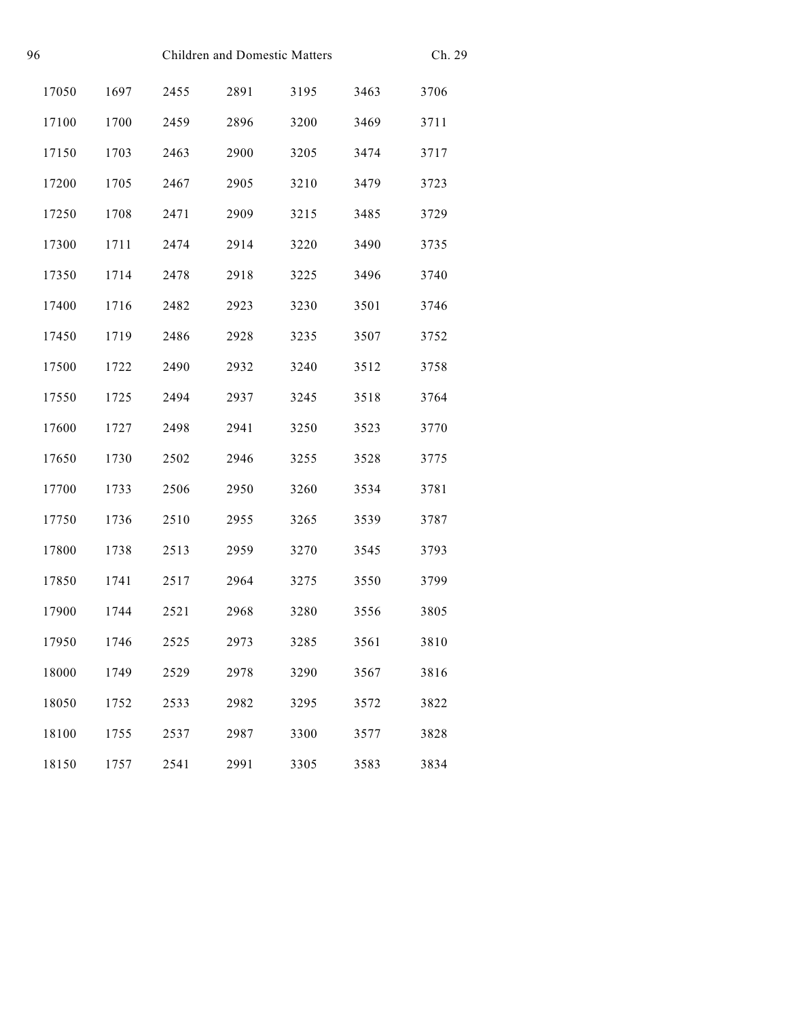| 96 |       |      |      | Children and Domestic Matters |      |      |      |
|----|-------|------|------|-------------------------------|------|------|------|
|    | 17050 | 1697 | 2455 | 2891                          | 3195 | 3463 | 3706 |
|    | 17100 | 1700 | 2459 | 2896                          | 3200 | 3469 | 3711 |
|    | 17150 | 1703 | 2463 | 2900                          | 3205 | 3474 | 3717 |
|    | 17200 | 1705 | 2467 | 2905                          | 3210 | 3479 | 3723 |
|    | 17250 | 1708 | 2471 | 2909                          | 3215 | 3485 | 3729 |
|    | 17300 | 1711 | 2474 | 2914                          | 3220 | 3490 | 3735 |
|    | 17350 | 1714 | 2478 | 2918                          | 3225 | 3496 | 3740 |
|    | 17400 | 1716 | 2482 | 2923                          | 3230 | 3501 | 3746 |
|    | 17450 | 1719 | 2486 | 2928                          | 3235 | 3507 | 3752 |
|    | 17500 | 1722 | 2490 | 2932                          | 3240 | 3512 | 3758 |
|    | 17550 | 1725 | 2494 | 2937                          | 3245 | 3518 | 3764 |
|    | 17600 | 1727 | 2498 | 2941                          | 3250 | 3523 | 3770 |
|    | 17650 | 1730 | 2502 | 2946                          | 3255 | 3528 | 3775 |
|    | 17700 | 1733 | 2506 | 2950                          | 3260 | 3534 | 3781 |
|    | 17750 | 1736 | 2510 | 2955                          | 3265 | 3539 | 3787 |
|    | 17800 | 1738 | 2513 | 2959                          | 3270 | 3545 | 3793 |
|    | 17850 | 1741 | 2517 | 2964                          | 3275 | 3550 | 3799 |
|    | 17900 | 1744 | 2521 | 2968                          | 3280 | 3556 | 3805 |
|    | 17950 | 1746 | 2525 | 2973                          | 3285 | 3561 | 3810 |
|    | 18000 | 1749 | 2529 | 2978                          | 3290 | 3567 | 3816 |
|    | 18050 | 1752 | 2533 | 2982                          | 3295 | 3572 | 3822 |
|    | 18100 | 1755 | 2537 | 2987                          | 3300 | 3577 | 3828 |
|    | 18150 | 1757 | 2541 | 2991                          | 3305 | 3583 | 3834 |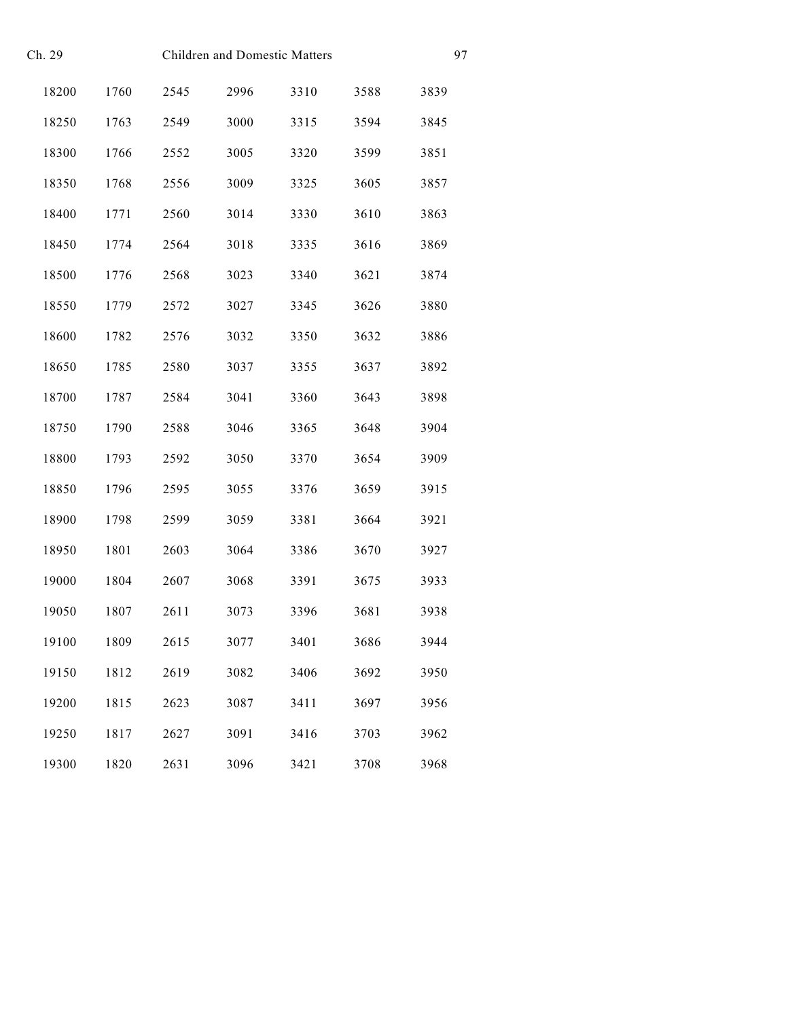| Ch. 29 |       |      |      | <b>Children and Domestic Matters</b> |      | 97   |      |
|--------|-------|------|------|--------------------------------------|------|------|------|
|        | 18200 | 1760 | 2545 | 2996                                 | 3310 | 3588 | 3839 |
|        | 18250 | 1763 | 2549 | 3000                                 | 3315 | 3594 | 3845 |
|        | 18300 | 1766 | 2552 | 3005                                 | 3320 | 3599 | 3851 |
|        | 18350 | 1768 | 2556 | 3009                                 | 3325 | 3605 | 3857 |
|        | 18400 | 1771 | 2560 | 3014                                 | 3330 | 3610 | 3863 |
|        | 18450 | 1774 | 2564 | 3018                                 | 3335 | 3616 | 3869 |
|        | 18500 | 1776 | 2568 | 3023                                 | 3340 | 3621 | 3874 |
|        | 18550 | 1779 | 2572 | 3027                                 | 3345 | 3626 | 3880 |
|        | 18600 | 1782 | 2576 | 3032                                 | 3350 | 3632 | 3886 |
|        | 18650 | 1785 | 2580 | 3037                                 | 3355 | 3637 | 3892 |
|        | 18700 | 1787 | 2584 | 3041                                 | 3360 | 3643 | 3898 |
|        | 18750 | 1790 | 2588 | 3046                                 | 3365 | 3648 | 3904 |
|        | 18800 | 1793 | 2592 | 3050                                 | 3370 | 3654 | 3909 |
|        | 18850 | 1796 | 2595 | 3055                                 | 3376 | 3659 | 3915 |
|        | 18900 | 1798 | 2599 | 3059                                 | 3381 | 3664 | 3921 |
|        | 18950 | 1801 | 2603 | 3064                                 | 3386 | 3670 | 3927 |
|        | 19000 | 1804 | 2607 | 3068                                 | 3391 | 3675 | 3933 |
|        | 19050 | 1807 | 2611 | 3073                                 | 3396 | 3681 | 3938 |
|        | 19100 | 1809 | 2615 | 3077                                 | 3401 | 3686 | 3944 |
|        | 19150 | 1812 | 2619 | 3082                                 | 3406 | 3692 | 3950 |
|        | 19200 | 1815 | 2623 | 3087                                 | 3411 | 3697 | 3956 |
|        | 19250 | 1817 | 2627 | 3091                                 | 3416 | 3703 | 3962 |
|        | 19300 | 1820 | 2631 | 3096                                 | 3421 | 3708 | 3968 |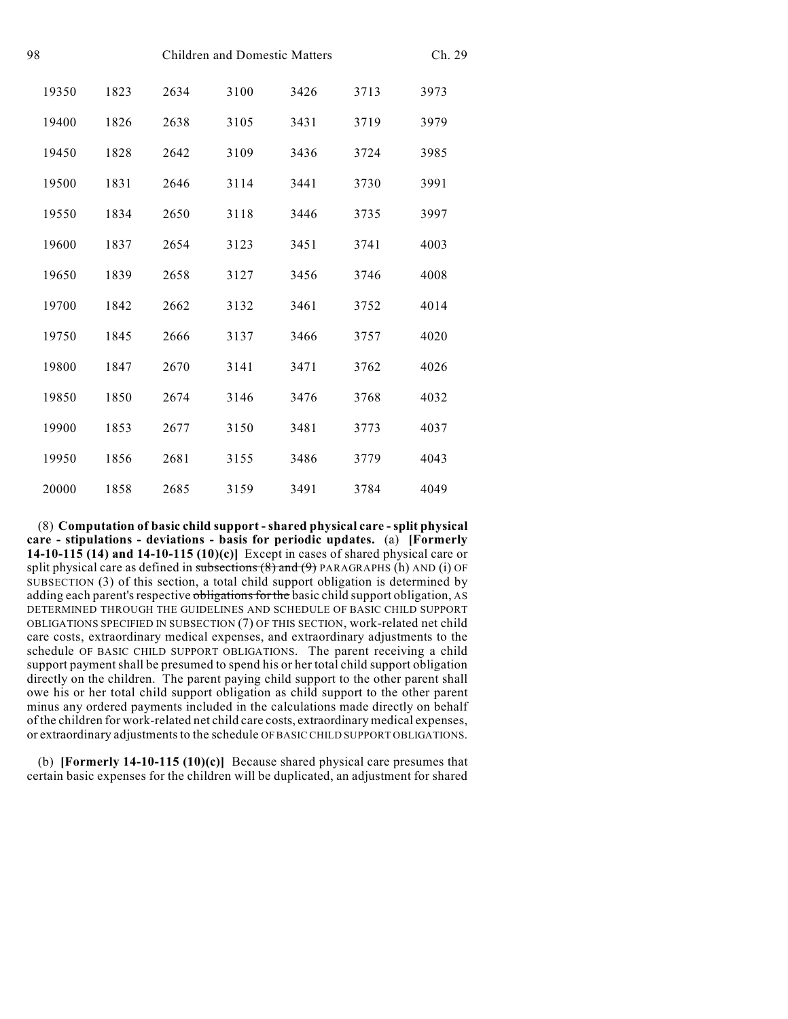| 98 |       |      |      | <b>Children and Domestic Matters</b> |      | Ch. 29 |      |
|----|-------|------|------|--------------------------------------|------|--------|------|
|    | 19350 | 1823 | 2634 | 3100                                 | 3426 | 3713   | 3973 |
|    | 19400 | 1826 | 2638 | 3105                                 | 3431 | 3719   | 3979 |
|    | 19450 | 1828 | 2642 | 3109                                 | 3436 | 3724   | 3985 |
|    | 19500 | 1831 | 2646 | 3114                                 | 3441 | 3730   | 3991 |
|    | 19550 | 1834 | 2650 | 3118                                 | 3446 | 3735   | 3997 |
|    | 19600 | 1837 | 2654 | 3123                                 | 3451 | 3741   | 4003 |
|    | 19650 | 1839 | 2658 | 3127                                 | 3456 | 3746   | 4008 |
|    | 19700 | 1842 | 2662 | 3132                                 | 3461 | 3752   | 4014 |
|    | 19750 | 1845 | 2666 | 3137                                 | 3466 | 3757   | 4020 |
|    | 19800 | 1847 | 2670 | 3141                                 | 3471 | 3762   | 4026 |
|    | 19850 | 1850 | 2674 | 3146                                 | 3476 | 3768   | 4032 |
|    | 19900 | 1853 | 2677 | 3150                                 | 3481 | 3773   | 4037 |
|    | 19950 | 1856 | 2681 | 3155                                 | 3486 | 3779   | 4043 |
|    | 20000 | 1858 | 2685 | 3159                                 | 3491 | 3784   | 4049 |

(8) **Computation of basic child support - shared physical care - split physical care - stipulations - deviations - basis for periodic updates.** (a) **[Formerly 14-10-115 (14) and 14-10-115 (10)(c)]** Except in cases of shared physical care or split physical care as defined in subsections  $(8)$  and  $(9)$  PARAGRAPHS (h) AND (i) OF SUBSECTION (3) of this section, a total child support obligation is determined by adding each parent's respective obligations for the basic child support obligation, AS DETERMINED THROUGH THE GUIDELINES AND SCHEDULE OF BASIC CHILD SUPPORT OBLIGATIONS SPECIFIED IN SUBSECTION (7) OF THIS SECTION, work-related net child care costs, extraordinary medical expenses, and extraordinary adjustments to the schedule OF BASIC CHILD SUPPORT OBLIGATIONS. The parent receiving a child support payment shall be presumed to spend his or her total child support obligation directly on the children. The parent paying child support to the other parent shall owe his or her total child support obligation as child support to the other parent minus any ordered payments included in the calculations made directly on behalf of the children for work-related net child care costs, extraordinary medical expenses, or extraordinary adjustments to the schedule OF BASIC CHILD SUPPORT OBLIGATIONS.

(b) **[Formerly 14-10-115 (10)(c)]** Because shared physical care presumes that certain basic expenses for the children will be duplicated, an adjustment for shared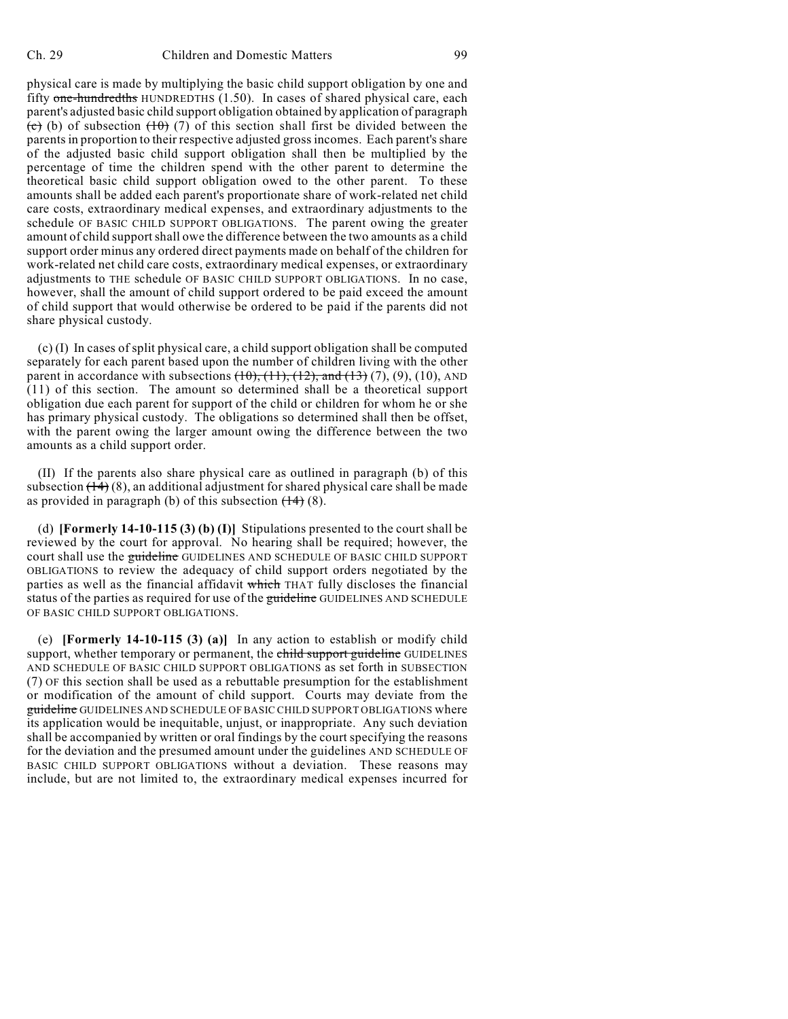share physical custody.

physical care is made by multiplying the basic child support obligation by one and fifty one-hundredths HUNDREDTHS (1.50). In cases of shared physical care, each parent's adjusted basic child support obligation obtained by application of paragraph (c) (b) of subsection  $(10)$  (7) of this section shall first be divided between the parents in proportion to their respective adjusted gross incomes. Each parent's share of the adjusted basic child support obligation shall then be multiplied by the percentage of time the children spend with the other parent to determine the theoretical basic child support obligation owed to the other parent. To these amounts shall be added each parent's proportionate share of work-related net child care costs, extraordinary medical expenses, and extraordinary adjustments to the schedule OF BASIC CHILD SUPPORT OBLIGATIONS. The parent owing the greater amount of child support shall owe the difference between the two amounts as a child support order minus any ordered direct payments made on behalf of the children for work-related net child care costs, extraordinary medical expenses, or extraordinary adjustments to THE schedule OF BASIC CHILD SUPPORT OBLIGATIONS. In no case, however, shall the amount of child support ordered to be paid exceed the amount of child support that would otherwise be ordered to be paid if the parents did not

(c) (I) In cases of split physical care, a child support obligation shall be computed separately for each parent based upon the number of children living with the other parent in accordance with subsections  $(10)$ ,  $(11)$ ,  $(12)$ , and  $(13)$   $(7)$ ,  $(9)$ ,  $(10)$ , AND (11) of this section. The amount so determined shall be a theoretical support obligation due each parent for support of the child or children for whom he or she has primary physical custody. The obligations so determined shall then be offset, with the parent owing the larger amount owing the difference between the two amounts as a child support order.

(II) If the parents also share physical care as outlined in paragraph (b) of this subsection  $(\overline{14})$  (8), an additional adjustment for shared physical care shall be made as provided in paragraph (b) of this subsection  $(14)$  (8).

(d) **[Formerly 14-10-115 (3) (b) (I)]** Stipulations presented to the court shall be reviewed by the court for approval. No hearing shall be required; however, the court shall use the guideline GUIDELINES AND SCHEDULE OF BASIC CHILD SUPPORT OBLIGATIONS to review the adequacy of child support orders negotiated by the parties as well as the financial affidavit which THAT fully discloses the financial status of the parties as required for use of the guideline GUIDELINES AND SCHEDULE OF BASIC CHILD SUPPORT OBLIGATIONS.

(e) **[Formerly 14-10-115 (3) (a)]** In any action to establish or modify child support, whether temporary or permanent, the child support guideline GUIDELINES AND SCHEDULE OF BASIC CHILD SUPPORT OBLIGATIONS as set forth in SUBSECTION (7) OF this section shall be used as a rebuttable presumption for the establishment or modification of the amount of child support. Courts may deviate from the guideline GUIDELINES AND SCHEDULE OF BASIC CHILD SUPPORT OBLIGATIONS where its application would be inequitable, unjust, or inappropriate. Any such deviation shall be accompanied by written or oral findings by the court specifying the reasons for the deviation and the presumed amount under the guidelines AND SCHEDULE OF BASIC CHILD SUPPORT OBLIGATIONS without a deviation. These reasons may include, but are not limited to, the extraordinary medical expenses incurred for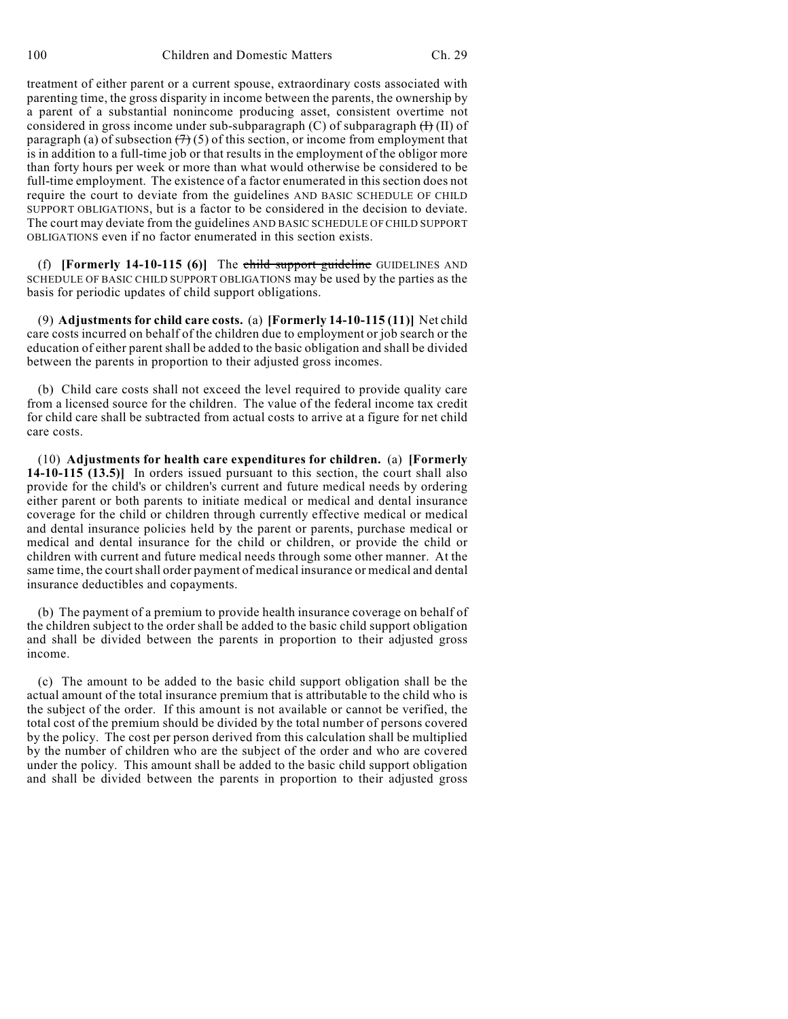treatment of either parent or a current spouse, extraordinary costs associated with parenting time, the gross disparity in income between the parents, the ownership by a parent of a substantial nonincome producing asset, consistent overtime not considered in gross income under sub-subparagraph  $(C)$  of subparagraph  $(H)$  (II) of paragraph (a) of subsection  $(7)(5)$  of this section, or income from employment that is in addition to a full-time job or that results in the employment of the obligor more than forty hours per week or more than what would otherwise be considered to be full-time employment. The existence of a factor enumerated in this section does not require the court to deviate from the guidelines AND BASIC SCHEDULE OF CHILD SUPPORT OBLIGATIONS, but is a factor to be considered in the decision to deviate. The court may deviate from the guidelines AND BASIC SCHEDULE OF CHILD SUPPORT OBLIGATIONS even if no factor enumerated in this section exists.

(f) **[Formerly 14-10-115 (6)]** The child support guideline GUIDELINES AND SCHEDULE OF BASIC CHILD SUPPORT OBLIGATIONS may be used by the parties as the basis for periodic updates of child support obligations.

(9) **Adjustments for child care costs.** (a) **[Formerly 14-10-115 (11)]** Net child care costs incurred on behalf of the children due to employment or job search or the education of either parent shall be added to the basic obligation and shall be divided between the parents in proportion to their adjusted gross incomes.

(b) Child care costs shall not exceed the level required to provide quality care from a licensed source for the children. The value of the federal income tax credit for child care shall be subtracted from actual costs to arrive at a figure for net child care costs.

(10) **Adjustments for health care expenditures for children.** (a) **[Formerly 14-10-115 (13.5)]** In orders issued pursuant to this section, the court shall also provide for the child's or children's current and future medical needs by ordering either parent or both parents to initiate medical or medical and dental insurance coverage for the child or children through currently effective medical or medical and dental insurance policies held by the parent or parents, purchase medical or medical and dental insurance for the child or children, or provide the child or children with current and future medical needs through some other manner. At the same time, the court shall order payment of medical insurance or medical and dental insurance deductibles and copayments.

(b) The payment of a premium to provide health insurance coverage on behalf of the children subject to the order shall be added to the basic child support obligation and shall be divided between the parents in proportion to their adjusted gross income.

(c) The amount to be added to the basic child support obligation shall be the actual amount of the total insurance premium that is attributable to the child who is the subject of the order. If this amount is not available or cannot be verified, the total cost of the premium should be divided by the total number of persons covered by the policy. The cost per person derived from this calculation shall be multiplied by the number of children who are the subject of the order and who are covered under the policy. This amount shall be added to the basic child support obligation and shall be divided between the parents in proportion to their adjusted gross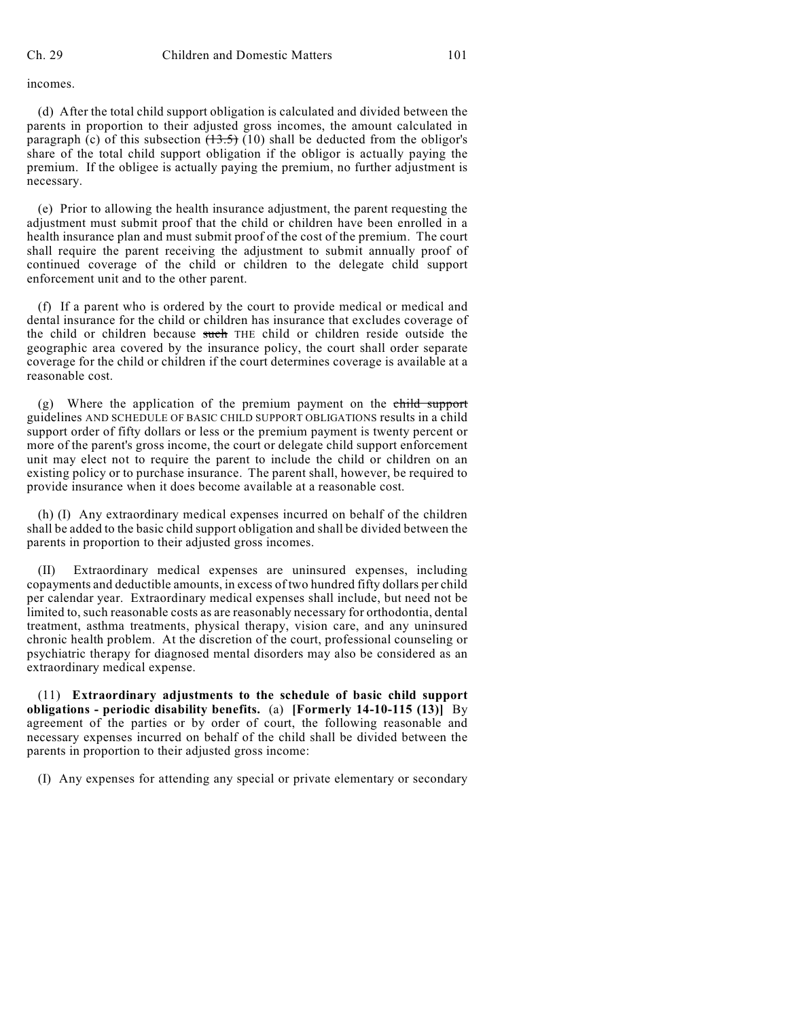incomes.

(d) After the total child support obligation is calculated and divided between the parents in proportion to their adjusted gross incomes, the amount calculated in paragraph (c) of this subsection  $(13.5)$  (10) shall be deducted from the obligor's share of the total child support obligation if the obligor is actually paying the premium. If the obligee is actually paying the premium, no further adjustment is necessary.

(e) Prior to allowing the health insurance adjustment, the parent requesting the adjustment must submit proof that the child or children have been enrolled in a health insurance plan and must submit proof of the cost of the premium. The court shall require the parent receiving the adjustment to submit annually proof of continued coverage of the child or children to the delegate child support enforcement unit and to the other parent.

(f) If a parent who is ordered by the court to provide medical or medical and dental insurance for the child or children has insurance that excludes coverage of the child or children because such THE child or children reside outside the geographic area covered by the insurance policy, the court shall order separate coverage for the child or children if the court determines coverage is available at a reasonable cost.

 $(g)$  Where the application of the premium payment on the child support guidelines AND SCHEDULE OF BASIC CHILD SUPPORT OBLIGATIONS results in a child support order of fifty dollars or less or the premium payment is twenty percent or more of the parent's gross income, the court or delegate child support enforcement unit may elect not to require the parent to include the child or children on an existing policy or to purchase insurance. The parent shall, however, be required to provide insurance when it does become available at a reasonable cost.

(h) (I) Any extraordinary medical expenses incurred on behalf of the children shall be added to the basic child support obligation and shall be divided between the parents in proportion to their adjusted gross incomes.

Extraordinary medical expenses are uninsured expenses, including copayments and deductible amounts, in excess of two hundred fifty dollars per child per calendar year. Extraordinary medical expenses shall include, but need not be limited to, such reasonable costs as are reasonably necessary for orthodontia, dental treatment, asthma treatments, physical therapy, vision care, and any uninsured chronic health problem. At the discretion of the court, professional counseling or psychiatric therapy for diagnosed mental disorders may also be considered as an extraordinary medical expense.

(11) **Extraordinary adjustments to the schedule of basic child support obligations - periodic disability benefits.** (a) **[Formerly 14-10-115 (13)]** By agreement of the parties or by order of court, the following reasonable and necessary expenses incurred on behalf of the child shall be divided between the parents in proportion to their adjusted gross income:

(I) Any expenses for attending any special or private elementary or secondary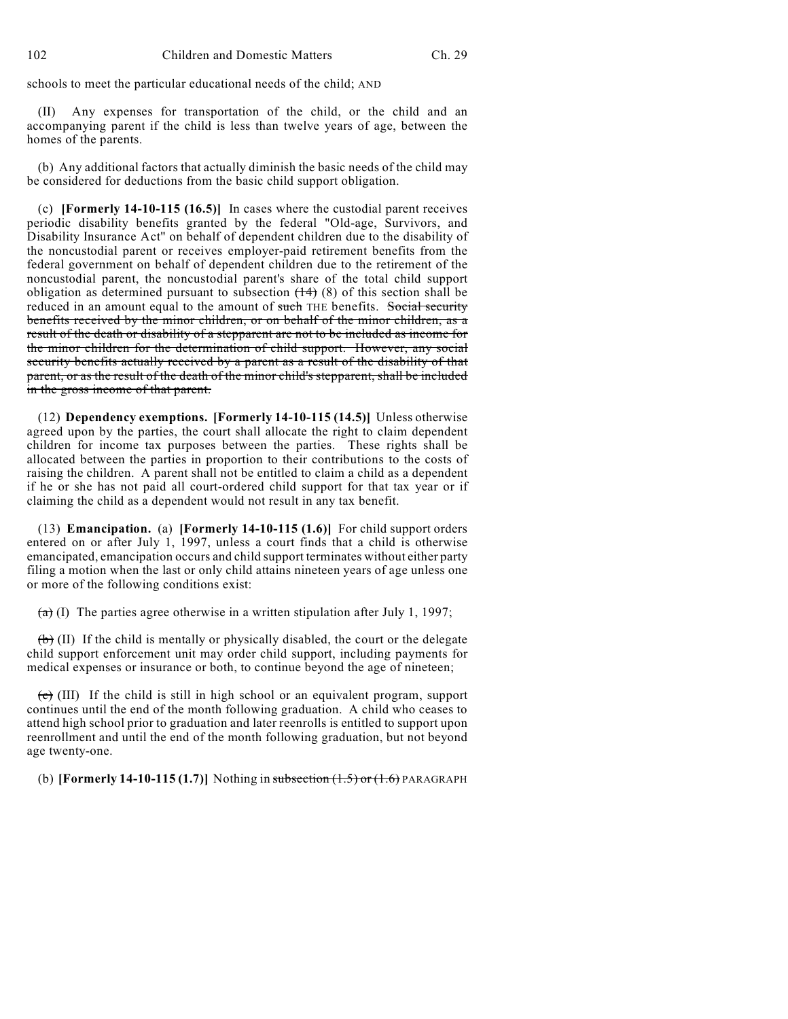schools to meet the particular educational needs of the child; AND

Any expenses for transportation of the child, or the child and an accompanying parent if the child is less than twelve years of age, between the homes of the parents.

(b) Any additional factors that actually diminish the basic needs of the child may be considered for deductions from the basic child support obligation.

(c) **[Formerly 14-10-115 (16.5)]** In cases where the custodial parent receives periodic disability benefits granted by the federal "Old-age, Survivors, and Disability Insurance Act" on behalf of dependent children due to the disability of the noncustodial parent or receives employer-paid retirement benefits from the federal government on behalf of dependent children due to the retirement of the noncustodial parent, the noncustodial parent's share of the total child support obligation as determined pursuant to subsection  $(14)$  (8) of this section shall be reduced in an amount equal to the amount of such THE benefits. Social security benefits received by the minor children, or on behalf of the minor children, as a result of the death or disability of a stepparent are not to be included as income for the minor children for the determination of child support. However, any social security benefits actually received by a parent as a result of the disability of that parent, or as the result of the death of the minor child's stepparent, shall be included in the gross income of that parent.

(12) **Dependency exemptions. [Formerly 14-10-115 (14.5)]** Unless otherwise agreed upon by the parties, the court shall allocate the right to claim dependent children for income tax purposes between the parties. These rights shall be allocated between the parties in proportion to their contributions to the costs of raising the children. A parent shall not be entitled to claim a child as a dependent if he or she has not paid all court-ordered child support for that tax year or if claiming the child as a dependent would not result in any tax benefit.

(13) **Emancipation.** (a) **[Formerly 14-10-115 (1.6)]** For child support orders entered on or after July 1, 1997, unless a court finds that a child is otherwise emancipated, emancipation occurs and child support terminates without either party filing a motion when the last or only child attains nineteen years of age unless one or more of the following conditions exist:

 $(a)$  (I) The parties agree otherwise in a written stipulation after July 1, 1997;

 $(\theta)$  (II) If the child is mentally or physically disabled, the court or the delegate child support enforcement unit may order child support, including payments for medical expenses or insurance or both, to continue beyond the age of nineteen;

 $\overline{f}$  (III) If the child is still in high school or an equivalent program, support continues until the end of the month following graduation. A child who ceases to attend high school prior to graduation and later reenrolls is entitled to support upon reenrollment and until the end of the month following graduation, but not beyond age twenty-one.

(b) **[Formerly 14-10-115 (1.7)]** Nothing in subsection (1.5) or (1.6) PARAGRAPH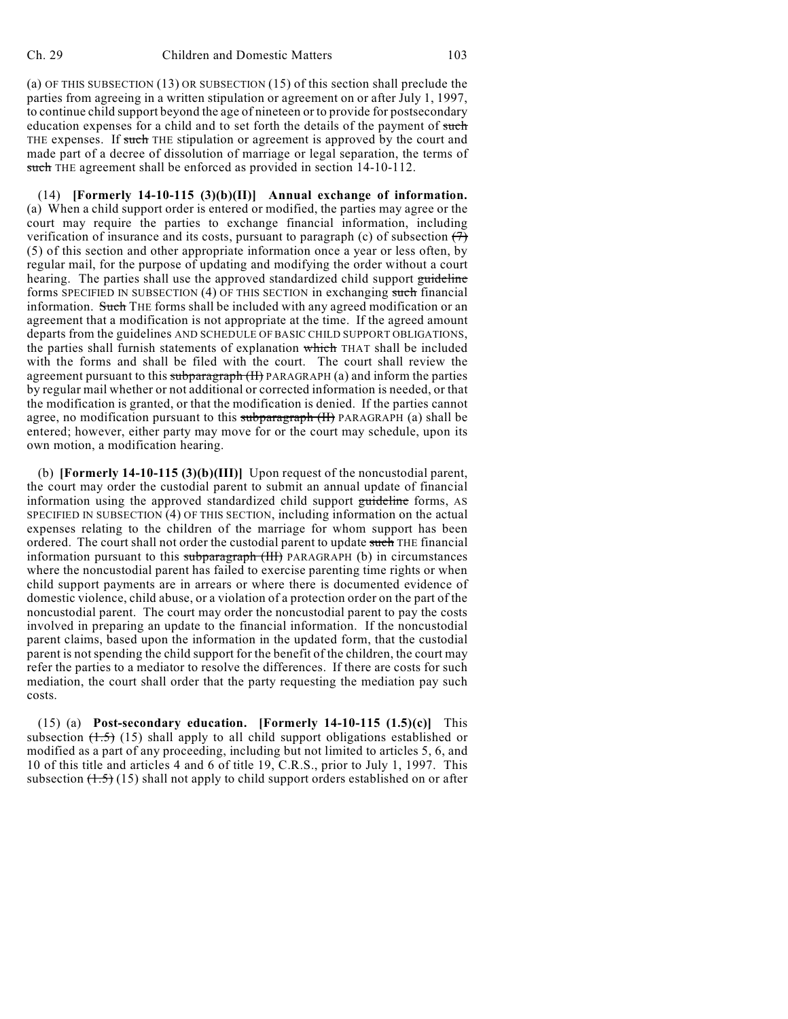(a) OF THIS SUBSECTION (13) OR SUBSECTION (15) of this section shall preclude the parties from agreeing in a written stipulation or agreement on or after July 1, 1997, to continue child support beyond the age of nineteen or to provide for postsecondary education expenses for a child and to set forth the details of the payment of such THE expenses. If such THE stipulation or agreement is approved by the court and made part of a decree of dissolution of marriage or legal separation, the terms of such THE agreement shall be enforced as provided in section 14-10-112.

(14) **[Formerly 14-10-115 (3)(b)(II)] Annual exchange of information.** (a) When a child support order is entered or modified, the parties may agree or the court may require the parties to exchange financial information, including verification of insurance and its costs, pursuant to paragraph (c) of subsection  $(7)$ (5) of this section and other appropriate information once a year or less often, by regular mail, for the purpose of updating and modifying the order without a court hearing. The parties shall use the approved standardized child support guideline forms SPECIFIED IN SUBSECTION (4) OF THIS SECTION in exchanging such financial information. Such THE forms shall be included with any agreed modification or an agreement that a modification is not appropriate at the time. If the agreed amount departs from the guidelines AND SCHEDULE OF BASIC CHILD SUPPORT OBLIGATIONS, the parties shall furnish statements of explanation which THAT shall be included with the forms and shall be filed with the court. The court shall review the agreement pursuant to this subparagraph (II) PARAGRAPH (a) and inform the parties by regular mail whether or not additional or corrected information is needed, or that the modification is granted, or that the modification is denied. If the parties cannot agree, no modification pursuant to this subparagraph (II) PARAGRAPH (a) shall be entered; however, either party may move for or the court may schedule, upon its own motion, a modification hearing.

(b) **[Formerly 14-10-115 (3)(b)(III)]** Upon request of the noncustodial parent, the court may order the custodial parent to submit an annual update of financial information using the approved standardized child support guideline forms, AS SPECIFIED IN SUBSECTION (4) OF THIS SECTION, including information on the actual expenses relating to the children of the marriage for whom support has been ordered. The court shall not order the custodial parent to update such THE financial information pursuant to this subparagraph (III) PARAGRAPH (b) in circumstances where the noncustodial parent has failed to exercise parenting time rights or when child support payments are in arrears or where there is documented evidence of domestic violence, child abuse, or a violation of a protection order on the part of the noncustodial parent. The court may order the noncustodial parent to pay the costs involved in preparing an update to the financial information. If the noncustodial parent claims, based upon the information in the updated form, that the custodial parent is not spending the child support for the benefit of the children, the court may refer the parties to a mediator to resolve the differences. If there are costs for such mediation, the court shall order that the party requesting the mediation pay such costs.

(15) (a) **Post-secondary education. [Formerly 14-10-115 (1.5)(c)]** This subsection  $(1.5)$  (15) shall apply to all child support obligations established or modified as a part of any proceeding, including but not limited to articles 5, 6, and 10 of this title and articles 4 and 6 of title 19, C.R.S., prior to July 1, 1997. This subsection  $(1.5)$  (15) shall not apply to child support orders established on or after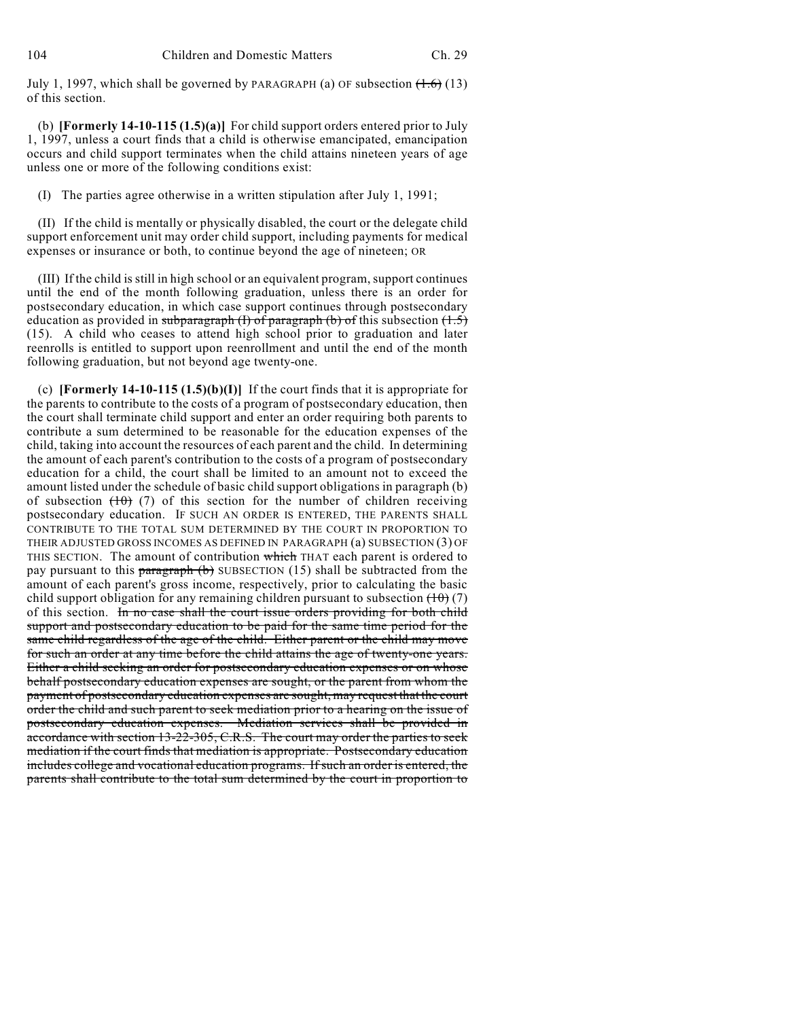July 1, 1997, which shall be governed by PARAGRAPH (a) OF subsection  $(1.6)$  (13) of this section.

(b) **[Formerly 14-10-115 (1.5)(a)]** For child support orders entered prior to July 1, 1997, unless a court finds that a child is otherwise emancipated, emancipation occurs and child support terminates when the child attains nineteen years of age unless one or more of the following conditions exist:

(I) The parties agree otherwise in a written stipulation after July 1, 1991;

(II) If the child is mentally or physically disabled, the court or the delegate child support enforcement unit may order child support, including payments for medical expenses or insurance or both, to continue beyond the age of nineteen; OR

(III) If the child is still in high school or an equivalent program, support continues until the end of the month following graduation, unless there is an order for postsecondary education, in which case support continues through postsecondary education as provided in subparagraph  $(I)$  of paragraph  $(b)$  of this subsection  $(1.5)$ (15). A child who ceases to attend high school prior to graduation and later reenrolls is entitled to support upon reenrollment and until the end of the month following graduation, but not beyond age twenty-one.

(c) **[Formerly 14-10-115 (1.5)(b)(I)]** If the court finds that it is appropriate for the parents to contribute to the costs of a program of postsecondary education, then the court shall terminate child support and enter an order requiring both parents to contribute a sum determined to be reasonable for the education expenses of the child, taking into account the resources of each parent and the child. In determining the amount of each parent's contribution to the costs of a program of postsecondary education for a child, the court shall be limited to an amount not to exceed the amount listed under the schedule of basic child support obligations in paragraph (b) of subsection  $(10)$  (7) of this section for the number of children receiving postsecondary education. IF SUCH AN ORDER IS ENTERED, THE PARENTS SHALL CONTRIBUTE TO THE TOTAL SUM DETERMINED BY THE COURT IN PROPORTION TO THEIR ADJUSTED GROSS INCOMES AS DEFINED IN PARAGRAPH (a) SUBSECTION (3) OF THIS SECTION. The amount of contribution which THAT each parent is ordered to pay pursuant to this paragraph  $(b)$  SUBSECTION (15) shall be subtracted from the amount of each parent's gross income, respectively, prior to calculating the basic child support obligation for any remaining children pursuant to subsection  $(10)(7)$ of this section. In no case shall the court issue orders providing for both child support and postsecondary education to be paid for the same time period for the same child regardless of the age of the child. Either parent or the child may move for such an order at any time before the child attains the age of twenty-one years. Either a child seeking an order for postsecondary education expenses or on whose behalf postsecondary education expenses are sought, or the parent from whom the payment of postsecondary education expenses are sought, may request that the court order the child and such parent to seek mediation prior to a hearing on the issue of postsecondary education expenses. Mediation services shall be provided in accordance with section 13-22-305, C.R.S. The court may order the parties to seek mediation if the court finds that mediation is appropriate. Postsecondary education includes college and vocational education programs. If such an order is entered, the parents shall contribute to the total sum determined by the court in proportion to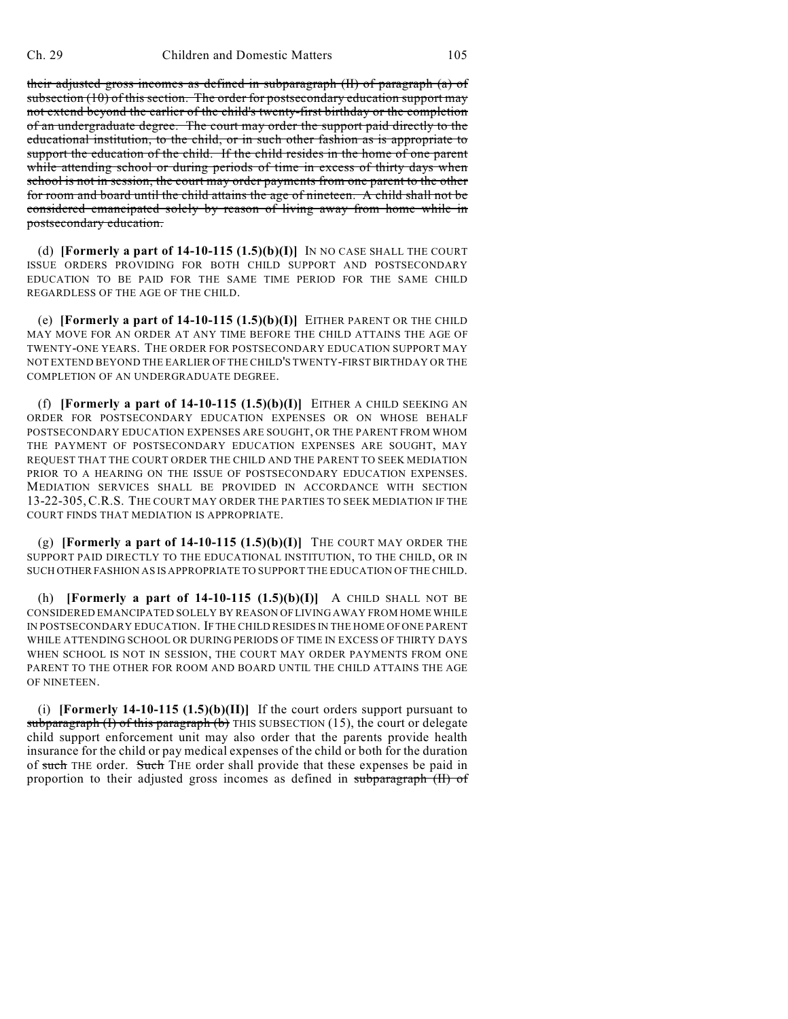their adjusted gross incomes as defined in subparagraph (II) of paragraph (a) of subsection (10) of this section. The order for postsecondary education support may not extend beyond the earlier of the child's twenty-first birthday or the completion of an undergraduate degree. The court may order the support paid directly to the educational institution, to the child, or in such other fashion as is appropriate to support the education of the child. If the child resides in the home of one parent while attending school or during periods of time in excess of thirty days when school is not in session, the court may order payments from one parent to the other for room and board until the child attains the age of nineteen. A child shall not be considered emancipated solely by reason of living away from home while in postsecondary education.

(d) **[Formerly a part of 14-10-115**  $(1.5)(b)(I)$  IN NO CASE SHALL THE COURT ISSUE ORDERS PROVIDING FOR BOTH CHILD SUPPORT AND POSTSECONDARY EDUCATION TO BE PAID FOR THE SAME TIME PERIOD FOR THE SAME CHILD REGARDLESS OF THE AGE OF THE CHILD.

(e) **[Formerly a part of 14-10-115**  $(1.5)(b)(I)$ **]** EITHER PARENT OR THE CHILD MAY MOVE FOR AN ORDER AT ANY TIME BEFORE THE CHILD ATTAINS THE AGE OF TWENTY-ONE YEARS. THE ORDER FOR POSTSECONDARY EDUCATION SUPPORT MAY NOT EXTEND BEYOND THE EARLIER OF THE CHILD'S TWENTY-FIRST BIRTHDAY OR THE COMPLETION OF AN UNDERGRADUATE DEGREE.

(f) **[Formerly a part of 14-10-115**  $(1.5)(b)(I)$ **]** EITHER A CHILD SEEKING AN ORDER FOR POSTSECONDARY EDUCATION EXPENSES OR ON WHOSE BEHALF POSTSECONDARY EDUCATION EXPENSES ARE SOUGHT, OR THE PARENT FROM WHOM THE PAYMENT OF POSTSECONDARY EDUCATION EXPENSES ARE SOUGHT, MAY REQUEST THAT THE COURT ORDER THE CHILD AND THE PARENT TO SEEK MEDIATION PRIOR TO A HEARING ON THE ISSUE OF POSTSECONDARY EDUCATION EXPENSES. MEDIATION SERVICES SHALL BE PROVIDED IN ACCORDANCE WITH SECTION 13-22-305, C.R.S. THE COURT MAY ORDER THE PARTIES TO SEEK MEDIATION IF THE COURT FINDS THAT MEDIATION IS APPROPRIATE.

(g) **[Formerly a part of 14-10-115 (1.5)(b)(I)]** THE COURT MAY ORDER THE SUPPORT PAID DIRECTLY TO THE EDUCATIONAL INSTITUTION, TO THE CHILD, OR IN SUCH OTHER FASHION AS IS APPROPRIATE TO SUPPORT THE EDUCATION OF THE CHILD.

(h) **[Formerly a part of 14-10-115 (1.5)(b)(I)]** A CHILD SHALL NOT BE CONSIDERED EMANCIPATED SOLELY BY REASON OF LIVING AWAY FROM HOME WHILE IN POSTSECONDARY EDUCATION. IF THE CHILD RESIDES IN THE HOME OF ONE PARENT WHILE ATTENDING SCHOOL OR DURING PERIODS OF TIME IN EXCESS OF THIRTY DAYS WHEN SCHOOL IS NOT IN SESSION, THE COURT MAY ORDER PAYMENTS FROM ONE PARENT TO THE OTHER FOR ROOM AND BOARD UNTIL THE CHILD ATTAINS THE AGE OF NINETEEN.

(i) **[Formerly 14-10-115 (1.5)(b)(II)]** If the court orders support pursuant to subparagraph  $(I)$  of this paragraph  $(b)$  THIS SUBSECTION (15), the court or delegate child support enforcement unit may also order that the parents provide health insurance for the child or pay medical expenses of the child or both for the duration of such THE order. Such THE order shall provide that these expenses be paid in proportion to their adjusted gross incomes as defined in subparagraph (II) of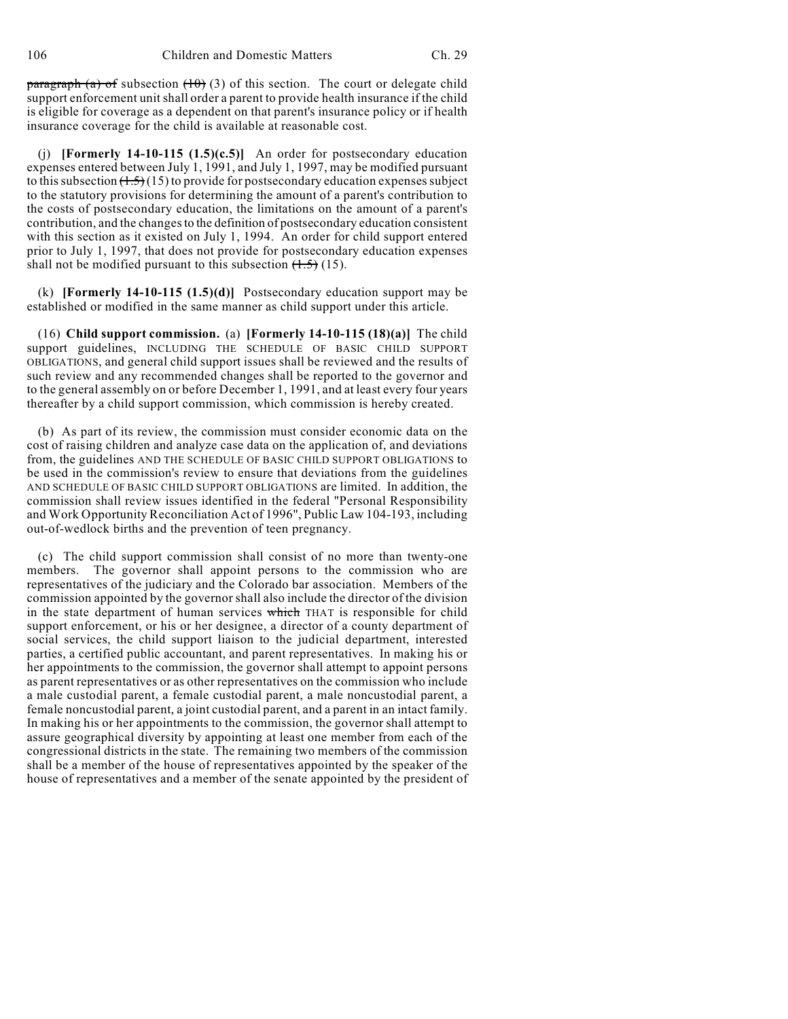paragraph (a) of subsection  $(10)$  (3) of this section. The court or delegate child support enforcement unit shall order a parent to provide health insurance if the child is eligible for coverage as a dependent on that parent's insurance policy or if health insurance coverage for the child is available at reasonable cost.

(j) **[Formerly 14-10-115 (1.5)(c.5)]** An order for postsecondary education expenses entered between July 1, 1991, and July 1, 1997, may be modified pursuant to this subsection  $(1.5)(15)$  to provide for postsecondary education expenses subject to the statutory provisions for determining the amount of a parent's contribution to the costs of postsecondary education, the limitations on the amount of a parent's contribution, and the changes to the definition of postsecondary education consistent with this section as it existed on July 1, 1994. An order for child support entered prior to July 1, 1997, that does not provide for postsecondary education expenses shall not be modified pursuant to this subsection  $(1.5)$  (15).

(k) **[Formerly 14-10-115 (1.5)(d)]** Postsecondary education support may be established or modified in the same manner as child support under this article.

(16) **Child support commission.** (a) **[Formerly 14-10-115 (18)(a)]** The child support guidelines, INCLUDING THE SCHEDULE OF BASIC CHILD SUPPORT OBLIGATIONS, and general child support issues shall be reviewed and the results of such review and any recommended changes shall be reported to the governor and to the general assembly on or before December 1, 1991, and at least every four years thereafter by a child support commission, which commission is hereby created.

(b) As part of its review, the commission must consider economic data on the cost of raising children and analyze case data on the application of, and deviations from, the guidelines AND THE SCHEDULE OF BASIC CHILD SUPPORT OBLIGATIONS to be used in the commission's review to ensure that deviations from the guidelines AND SCHEDULE OF BASIC CHILD SUPPORT OBLIGATIONS are limited. In addition, the commission shall review issues identified in the federal "Personal Responsibility and Work Opportunity Reconciliation Act of 1996", Public Law 104-193, including out-of-wedlock births and the prevention of teen pregnancy.

(c) The child support commission shall consist of no more than twenty-one members. The governor shall appoint persons to the commission who are representatives of the judiciary and the Colorado bar association. Members of the commission appointed by the governor shall also include the director of the division in the state department of human services which THAT is responsible for child support enforcement, or his or her designee, a director of a county department of social services, the child support liaison to the judicial department, interested parties, a certified public accountant, and parent representatives. In making his or her appointments to the commission, the governor shall attempt to appoint persons as parent representatives or as other representatives on the commission who include a male custodial parent, a female custodial parent, a male noncustodial parent, a female noncustodial parent, a joint custodial parent, and a parent in an intact family. In making his or her appointments to the commission, the governor shall attempt to assure geographical diversity by appointing at least one member from each of the congressional districts in the state. The remaining two members of the commission shall be a member of the house of representatives appointed by the speaker of the house of representatives and a member of the senate appointed by the president of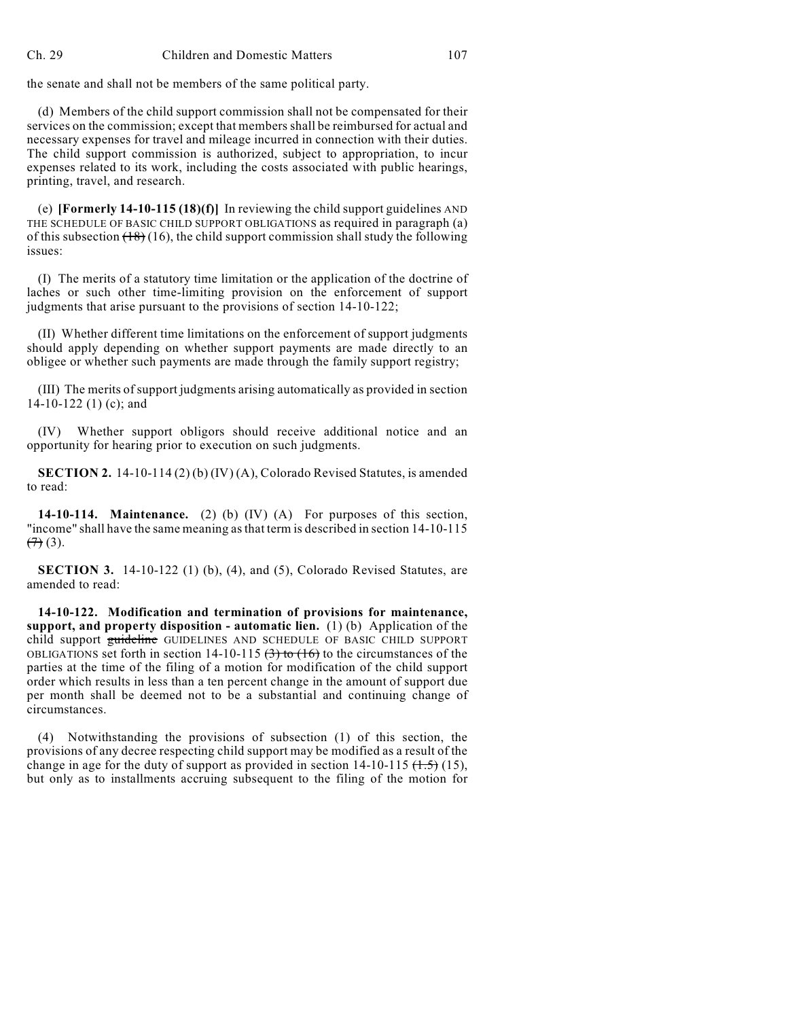the senate and shall not be members of the same political party.

(d) Members of the child support commission shall not be compensated for their services on the commission; except that members shall be reimbursed for actual and necessary expenses for travel and mileage incurred in connection with their duties. The child support commission is authorized, subject to appropriation, to incur expenses related to its work, including the costs associated with public hearings, printing, travel, and research.

(e) **[Formerly 14-10-115 (18)(f)]** In reviewing the child support guidelines AND THE SCHEDULE OF BASIC CHILD SUPPORT OBLIGATIONS as required in paragraph (a) of this subsection  $(18)(16)$ , the child support commission shall study the following issues:

(I) The merits of a statutory time limitation or the application of the doctrine of laches or such other time-limiting provision on the enforcement of support judgments that arise pursuant to the provisions of section 14-10-122;

(II) Whether different time limitations on the enforcement of support judgments should apply depending on whether support payments are made directly to an obligee or whether such payments are made through the family support registry;

(III) The merits of support judgments arising automatically as provided in section 14-10-122 (1) (c); and

(IV) Whether support obligors should receive additional notice and an opportunity for hearing prior to execution on such judgments.

**SECTION 2.** 14-10-114 (2) (b) (IV) (A), Colorado Revised Statutes, is amended to read:

**14-10-114. Maintenance.** (2) (b) (IV) (A) For purposes of this section, "income" shall have the same meaning as that term is described in section 14-10-115  $(7)(3)$ .

**SECTION 3.** 14-10-122 (1) (b), (4), and (5), Colorado Revised Statutes, are amended to read:

**14-10-122. Modification and termination of provisions for maintenance, support, and property disposition - automatic lien.** (1) (b) Application of the child support guideline GUIDELINES AND SCHEDULE OF BASIC CHILD SUPPORT OBLIGATIONS set forth in section 14-10-115  $(3)$  to  $(16)$  to the circumstances of the parties at the time of the filing of a motion for modification of the child support order which results in less than a ten percent change in the amount of support due per month shall be deemed not to be a substantial and continuing change of circumstances.

(4) Notwithstanding the provisions of subsection (1) of this section, the provisions of any decree respecting child support may be modified as a result of the change in age for the duty of support as provided in section  $14-10-115 \; (\text{1.5})$  (15), but only as to installments accruing subsequent to the filing of the motion for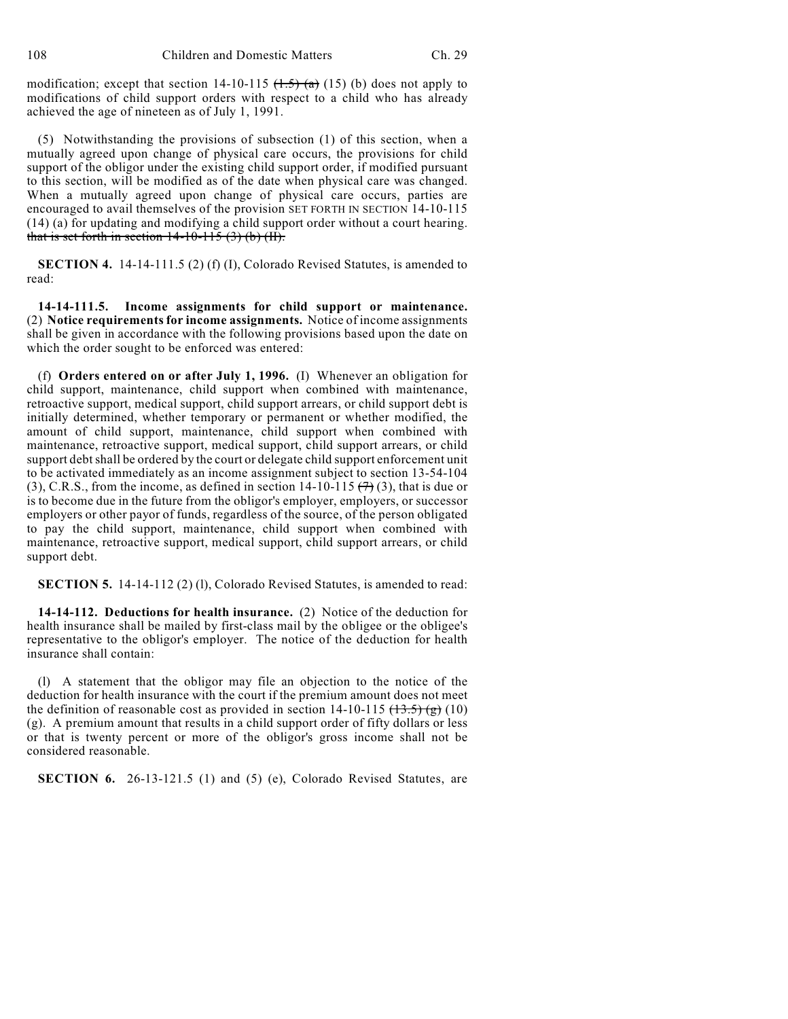108 Children and Domestic Matters Ch. 29

modification; except that section 14-10-115  $(1.5)$   $(a)$  (15) (b) does not apply to modifications of child support orders with respect to a child who has already achieved the age of nineteen as of July 1, 1991.

(5) Notwithstanding the provisions of subsection (1) of this section, when a mutually agreed upon change of physical care occurs, the provisions for child support of the obligor under the existing child support order, if modified pursuant to this section, will be modified as of the date when physical care was changed. When a mutually agreed upon change of physical care occurs, parties are encouraged to avail themselves of the provision SET FORTH IN SECTION 14-10-115 (14) (a) for updating and modifying a child support order without a court hearing. that is set forth in section  $14-10-115$  (3) (b) (II).

**SECTION 4.** 14-14-111.5 (2) (f) (I), Colorado Revised Statutes, is amended to read:

**14-14-111.5. Income assignments for child support or maintenance.** (2) **Notice requirementsfor income assignments.** Notice of income assignments shall be given in accordance with the following provisions based upon the date on which the order sought to be enforced was entered:

(f) **Orders entered on or after July 1, 1996.** (I) Whenever an obligation for child support, maintenance, child support when combined with maintenance, retroactive support, medical support, child support arrears, or child support debt is initially determined, whether temporary or permanent or whether modified, the amount of child support, maintenance, child support when combined with maintenance, retroactive support, medical support, child support arrears, or child support debt shall be ordered by the court or delegate child support enforcement unit to be activated immediately as an income assignment subject to section 13-54-104 (3), C.R.S., from the income, as defined in section  $14-10-115$   $(7)(3)$ , that is due or is to become due in the future from the obligor's employer, employers, or successor employers or other payor of funds, regardless of the source, of the person obligated to pay the child support, maintenance, child support when combined with maintenance, retroactive support, medical support, child support arrears, or child support debt.

**SECTION 5.** 14-14-112 (2) (1), Colorado Revised Statutes, is amended to read:

**14-14-112. Deductions for health insurance.** (2) Notice of the deduction for health insurance shall be mailed by first-class mail by the obligee or the obligee's representative to the obligor's employer. The notice of the deduction for health insurance shall contain:

(l) A statement that the obligor may file an objection to the notice of the deduction for health insurance with the court if the premium amount does not meet the definition of reasonable cost as provided in section  $14-10-115$   $\left(\frac{13.5}{10}\right)$  (10) (g). A premium amount that results in a child support order of fifty dollars or less or that is twenty percent or more of the obligor's gross income shall not be considered reasonable.

**SECTION 6.** 26-13-121.5 (1) and (5) (e), Colorado Revised Statutes, are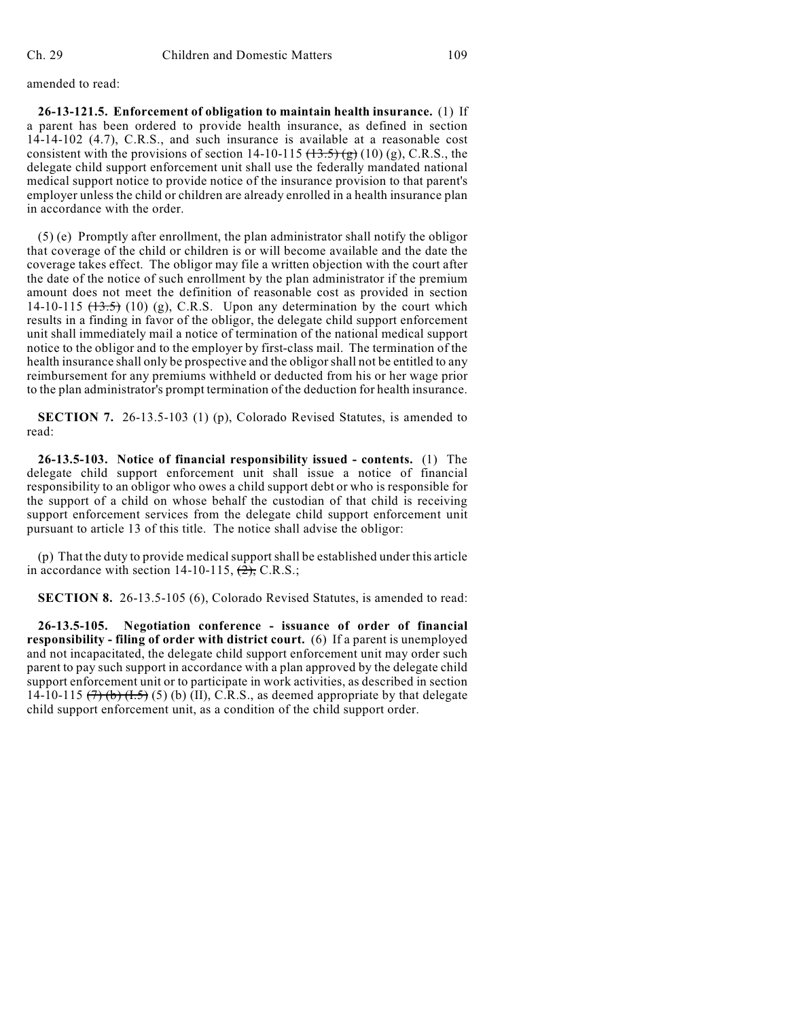amended to read:

**26-13-121.5. Enforcement of obligation to maintain health insurance.** (1) If a parent has been ordered to provide health insurance, as defined in section 14-14-102 (4.7), C.R.S., and such insurance is available at a reasonable cost consistent with the provisions of section 14-10-115  $(\frac{13.5}{\text{kg}})(10)(\text{g})$ , C.R.S., the delegate child support enforcement unit shall use the federally mandated national medical support notice to provide notice of the insurance provision to that parent's employer unless the child or children are already enrolled in a health insurance plan in accordance with the order.

(5) (e) Promptly after enrollment, the plan administrator shall notify the obligor that coverage of the child or children is or will become available and the date the coverage takes effect. The obligor may file a written objection with the court after the date of the notice of such enrollment by the plan administrator if the premium amount does not meet the definition of reasonable cost as provided in section 14-10-115  $(13.5)$  (10) (g), C.R.S. Upon any determination by the court which results in a finding in favor of the obligor, the delegate child support enforcement unit shall immediately mail a notice of termination of the national medical support notice to the obligor and to the employer by first-class mail. The termination of the health insurance shall only be prospective and the obligor shall not be entitled to any reimbursement for any premiums withheld or deducted from his or her wage prior to the plan administrator's prompt termination of the deduction for health insurance.

**SECTION 7.** 26-13.5-103 (1) (p), Colorado Revised Statutes, is amended to read:

**26-13.5-103. Notice of financial responsibility issued - contents.** (1) The delegate child support enforcement unit shall issue a notice of financial responsibility to an obligor who owes a child support debt or who is responsible for the support of a child on whose behalf the custodian of that child is receiving support enforcement services from the delegate child support enforcement unit pursuant to article 13 of this title. The notice shall advise the obligor:

(p) That the duty to provide medical support shall be established under this article in accordance with section  $14-10-115$ ,  $\left(\frac{2}{2}\right)$ , C.R.S.;

**SECTION 8.** 26-13.5-105 (6), Colorado Revised Statutes, is amended to read:

**26-13.5-105. Negotiation conference - issuance of order of financial responsibility - filing of order with district court.** (6) If a parent is unemployed and not incapacitated, the delegate child support enforcement unit may order such parent to pay such support in accordance with a plan approved by the delegate child support enforcement unit or to participate in work activities, as described in section 14-10-115  $(7)$  (b)  $(1.5)$  (5) (b) (II), C.R.S., as deemed appropriate by that delegate child support enforcement unit, as a condition of the child support order.